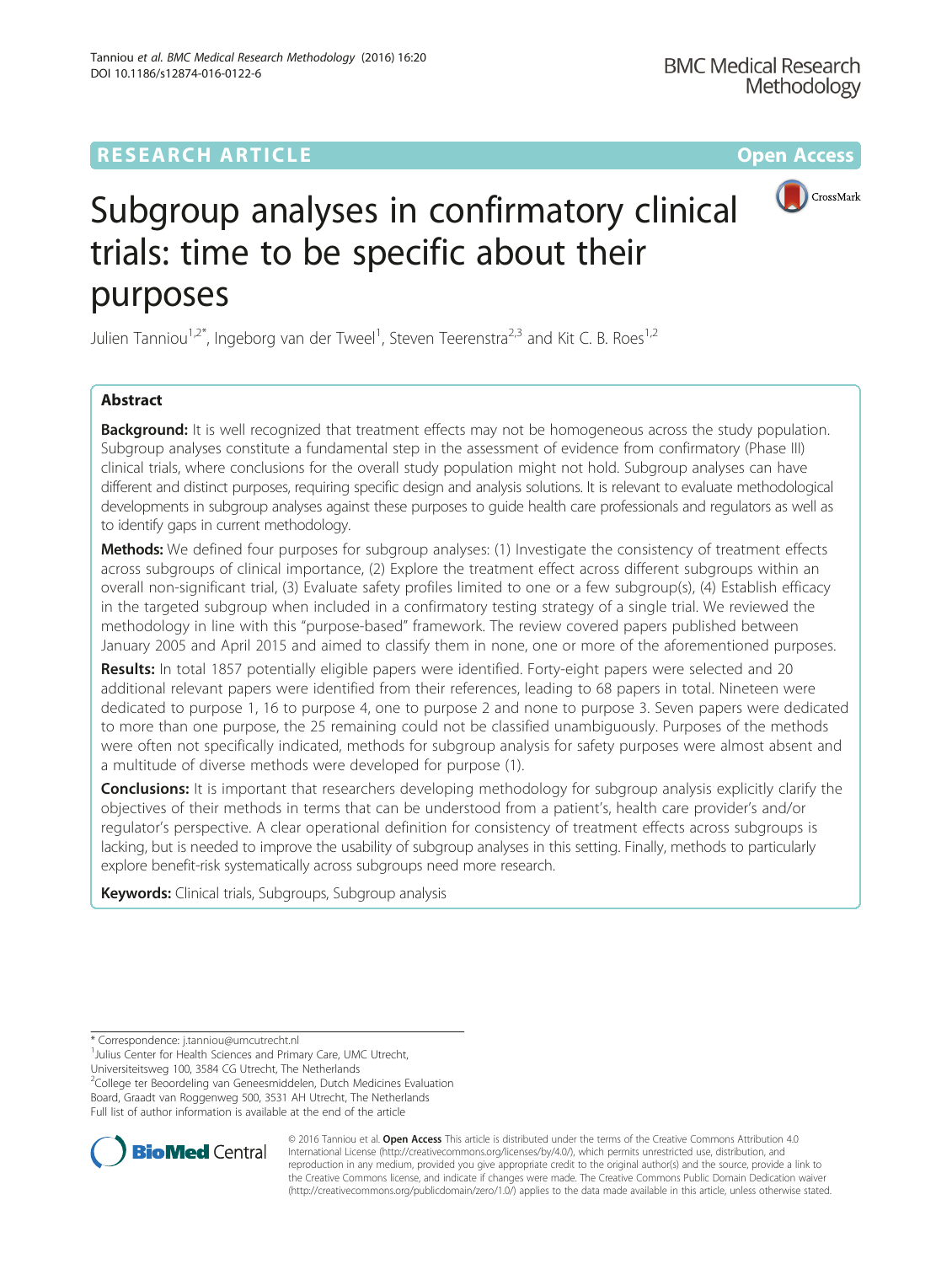

# Subgroup analyses in confirmatory clinical trials: time to be specific about their purposes

Julien Tanniou<sup>1,2\*</sup>, Ingeborg van der Tweel<sup>1</sup>, Steven Teerenstra<sup>2,3</sup> and Kit C. B. Roes<sup>1,2</sup>

# Abstract

**Background:** It is well recognized that treatment effects may not be homogeneous across the study population. Subgroup analyses constitute a fundamental step in the assessment of evidence from confirmatory (Phase III) clinical trials, where conclusions for the overall study population might not hold. Subgroup analyses can have different and distinct purposes, requiring specific design and analysis solutions. It is relevant to evaluate methodological developments in subgroup analyses against these purposes to guide health care professionals and regulators as well as to identify gaps in current methodology.

Methods: We defined four purposes for subgroup analyses: (1) Investigate the consistency of treatment effects across subgroups of clinical importance, (2) Explore the treatment effect across different subgroups within an overall non-significant trial, (3) Evaluate safety profiles limited to one or a few subgroup(s), (4) Establish efficacy in the targeted subgroup when included in a confirmatory testing strategy of a single trial. We reviewed the methodology in line with this "purpose-based" framework. The review covered papers published between January 2005 and April 2015 and aimed to classify them in none, one or more of the aforementioned purposes.

Results: In total 1857 potentially eligible papers were identified. Forty-eight papers were selected and 20 additional relevant papers were identified from their references, leading to 68 papers in total. Nineteen were dedicated to purpose 1, 16 to purpose 4, one to purpose 2 and none to purpose 3. Seven papers were dedicated to more than one purpose, the 25 remaining could not be classified unambiguously. Purposes of the methods were often not specifically indicated, methods for subgroup analysis for safety purposes were almost absent and a multitude of diverse methods were developed for purpose (1).

**Conclusions:** It is important that researchers developing methodology for subgroup analysis explicitly clarify the objectives of their methods in terms that can be understood from a patient's, health care provider's and/or regulator's perspective. A clear operational definition for consistency of treatment effects across subgroups is lacking, but is needed to improve the usability of subgroup analyses in this setting. Finally, methods to particularly explore benefit-risk systematically across subgroups need more research.

Keywords: Clinical trials, Subgroups, Subgroup analysis

Universiteitsweg 100, 3584 CG Utrecht, The Netherlands

<sup>2</sup>College ter Beoordeling van Geneesmiddelen, Dutch Medicines Evaluation Board, Graadt van Roggenweg 500, 3531 AH Utrecht, The Netherlands Full list of author information is available at the end of the article



© 2016 Tanniou et al. **Open Access** This article is distributed under the terms of the Creative Commons Attribution 4.0 International License [\(http://creativecommons.org/licenses/by/4.0/](http://creativecommons.org/licenses/by/4.0/)), which permits unrestricted use, distribution, and reproduction in any medium, provided you give appropriate credit to the original author(s) and the source, provide a link to the Creative Commons license, and indicate if changes were made. The Creative Commons Public Domain Dedication waiver [\(http://creativecommons.org/publicdomain/zero/1.0/](http://creativecommons.org/publicdomain/zero/1.0/)) applies to the data made available in this article, unless otherwise stated.

<sup>\*</sup> Correspondence: [j.tanniou@umcutrecht.nl](mailto:j.tanniou@umcutrecht.nl) <sup>1</sup>

<sup>&</sup>lt;sup>1</sup> Julius Center for Health Sciences and Primary Care, UMC Utrecht,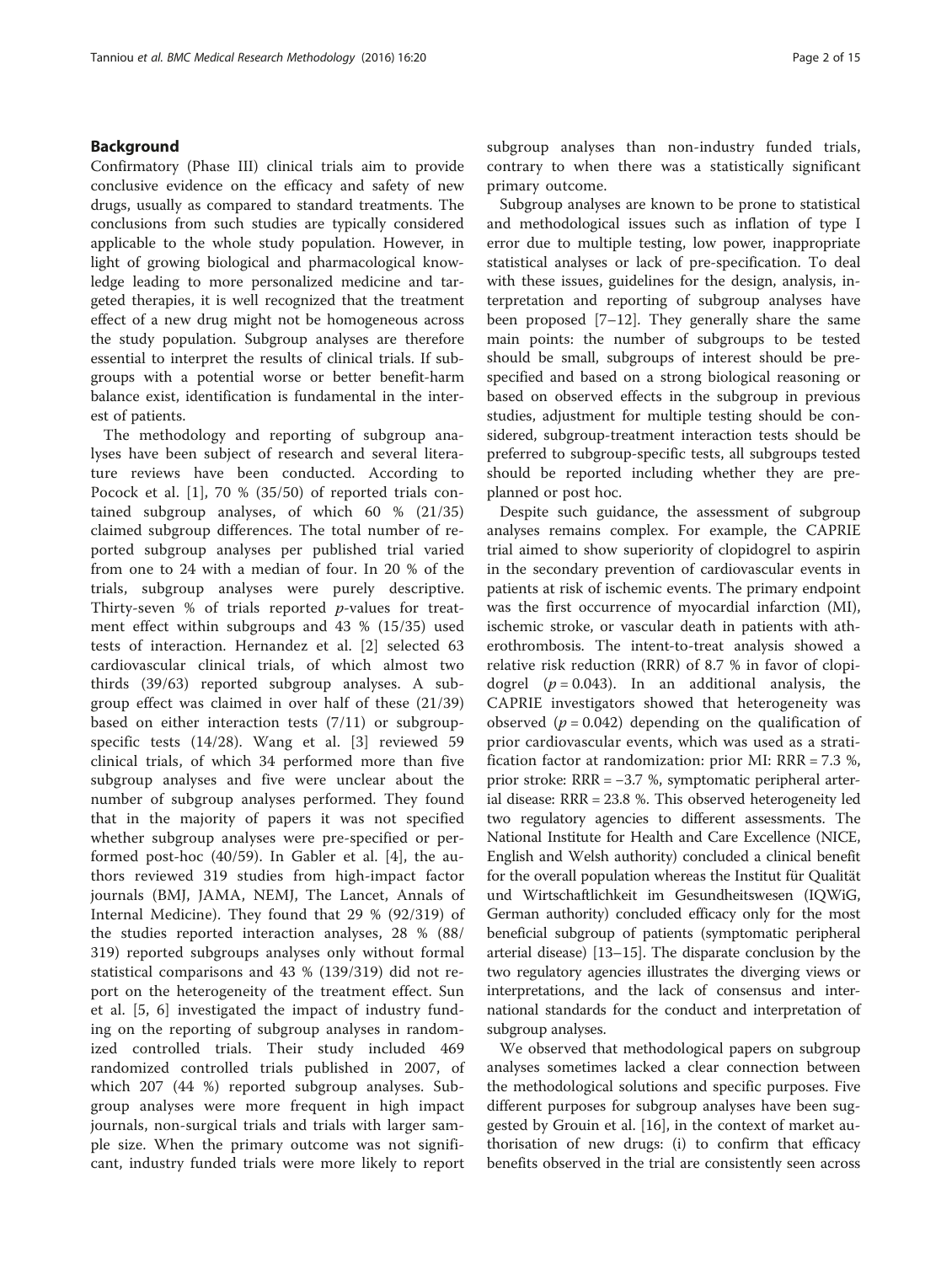## Background

Confirmatory (Phase III) clinical trials aim to provide conclusive evidence on the efficacy and safety of new drugs, usually as compared to standard treatments. The conclusions from such studies are typically considered applicable to the whole study population. However, in light of growing biological and pharmacological knowledge leading to more personalized medicine and targeted therapies, it is well recognized that the treatment effect of a new drug might not be homogeneous across the study population. Subgroup analyses are therefore essential to interpret the results of clinical trials. If subgroups with a potential worse or better benefit-harm balance exist, identification is fundamental in the interest of patients.

The methodology and reporting of subgroup analyses have been subject of research and several literature reviews have been conducted. According to Pocock et al. [[1\]](#page-12-0), 70 % (35/50) of reported trials contained subgroup analyses, of which 60 % (21/35) claimed subgroup differences. The total number of reported subgroup analyses per published trial varied from one to 24 with a median of four. In 20 % of the trials, subgroup analyses were purely descriptive. Thirty-seven  $%$  of trials reported *p*-values for treatment effect within subgroups and 43 % (15/35) used tests of interaction. Hernandez et al. [[2\]](#page-12-0) selected 63 cardiovascular clinical trials, of which almost two thirds (39/63) reported subgroup analyses. A subgroup effect was claimed in over half of these (21/39) based on either interaction tests (7/11) or subgroupspecific tests (14/28). Wang et al. [[3\]](#page-12-0) reviewed 59 clinical trials, of which 34 performed more than five subgroup analyses and five were unclear about the number of subgroup analyses performed. They found that in the majority of papers it was not specified whether subgroup analyses were pre-specified or performed post-hoc (40/59). In Gabler et al. [\[4](#page-12-0)], the authors reviewed 319 studies from high-impact factor journals (BMJ, JAMA, NEMJ, The Lancet, Annals of Internal Medicine). They found that 29 % (92/319) of the studies reported interaction analyses, 28 % (88/ 319) reported subgroups analyses only without formal statistical comparisons and 43 % (139/319) did not report on the heterogeneity of the treatment effect. Sun et al. [\[5](#page-12-0), [6](#page-12-0)] investigated the impact of industry funding on the reporting of subgroup analyses in randomized controlled trials. Their study included 469 randomized controlled trials published in 2007, of which 207 (44 %) reported subgroup analyses. Subgroup analyses were more frequent in high impact journals, non-surgical trials and trials with larger sample size. When the primary outcome was not significant, industry funded trials were more likely to report subgroup analyses than non-industry funded trials, contrary to when there was a statistically significant primary outcome.

Subgroup analyses are known to be prone to statistical and methodological issues such as inflation of type I error due to multiple testing, low power, inappropriate statistical analyses or lack of pre-specification. To deal with these issues, guidelines for the design, analysis, interpretation and reporting of subgroup analyses have been proposed [\[7](#page-12-0)–[12\]](#page-12-0). They generally share the same main points: the number of subgroups to be tested should be small, subgroups of interest should be prespecified and based on a strong biological reasoning or based on observed effects in the subgroup in previous studies, adjustment for multiple testing should be considered, subgroup-treatment interaction tests should be preferred to subgroup-specific tests, all subgroups tested should be reported including whether they are preplanned or post hoc.

Despite such guidance, the assessment of subgroup analyses remains complex. For example, the CAPRIE trial aimed to show superiority of clopidogrel to aspirin in the secondary prevention of cardiovascular events in patients at risk of ischemic events. The primary endpoint was the first occurrence of myocardial infarction (MI), ischemic stroke, or vascular death in patients with atherothrombosis. The intent-to-treat analysis showed a relative risk reduction (RRR) of 8.7 % in favor of clopidogrel ( $p = 0.043$ ). In an additional analysis, the CAPRIE investigators showed that heterogeneity was observed ( $p = 0.042$ ) depending on the qualification of prior cardiovascular events, which was used as a stratification factor at randomization: prior MI: RRR = 7.3 %, prior stroke: RRR = −3.7 %, symptomatic peripheral arterial disease: RRR = 23.8 %. This observed heterogeneity led two regulatory agencies to different assessments. The National Institute for Health and Care Excellence (NICE, English and Welsh authority) concluded a clinical benefit for the overall population whereas the Institut für Qualität und Wirtschaftlichkeit im Gesundheitswesen (IQWiG, German authority) concluded efficacy only for the most beneficial subgroup of patients (symptomatic peripheral arterial disease) [[13](#page-12-0)–[15](#page-12-0)]. The disparate conclusion by the two regulatory agencies illustrates the diverging views or interpretations, and the lack of consensus and international standards for the conduct and interpretation of subgroup analyses.

We observed that methodological papers on subgroup analyses sometimes lacked a clear connection between the methodological solutions and specific purposes. Five different purposes for subgroup analyses have been suggested by Grouin et al. [\[16\]](#page-12-0), in the context of market authorisation of new drugs: (i) to confirm that efficacy benefits observed in the trial are consistently seen across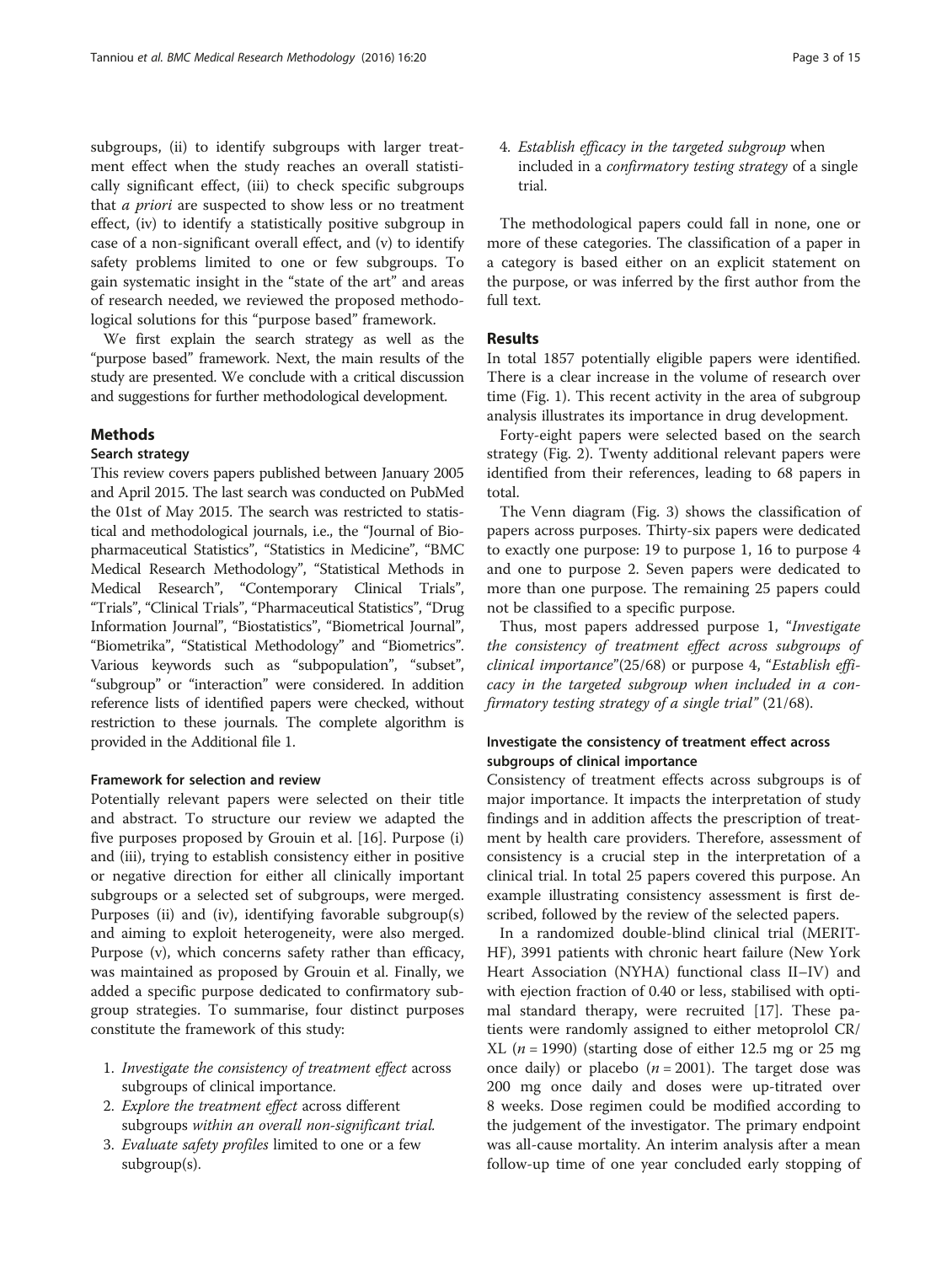subgroups, (ii) to identify subgroups with larger treatment effect when the study reaches an overall statistically significant effect, (iii) to check specific subgroups that *a priori* are suspected to show less or no treatment effect, (iv) to identify a statistically positive subgroup in case of a non-significant overall effect, and (v) to identify safety problems limited to one or few subgroups. To gain systematic insight in the "state of the art" and areas of research needed, we reviewed the proposed methodological solutions for this "purpose based" framework.

We first explain the search strategy as well as the "purpose based" framework. Next, the main results of the study are presented. We conclude with a critical discussion and suggestions for further methodological development.

## Methods

## Search strategy

This review covers papers published between January 2005 and April 2015. The last search was conducted on PubMed the 01st of May 2015. The search was restricted to statistical and methodological journals, i.e., the "Journal of Biopharmaceutical Statistics", "Statistics in Medicine", "BMC Medical Research Methodology", "Statistical Methods in Medical Research", "Contemporary Clinical Trials", "Trials", "Clinical Trials", "Pharmaceutical Statistics", "Drug Information Journal", "Biostatistics", "Biometrical Journal", "Biometrika", "Statistical Methodology" and "Biometrics". Various keywords such as "subpopulation", "subset", "subgroup" or "interaction" were considered. In addition reference lists of identified papers were checked, without restriction to these journals. The complete algorithm is provided in the Additional file [1.](#page-12-0)

## Framework for selection and review

Potentially relevant papers were selected on their title and abstract. To structure our review we adapted the five purposes proposed by Grouin et al. [[16\]](#page-12-0). Purpose (i) and (iii), trying to establish consistency either in positive or negative direction for either all clinically important subgroups or a selected set of subgroups, were merged. Purposes (ii) and (iv), identifying favorable subgroup(s) and aiming to exploit heterogeneity, were also merged. Purpose (v), which concerns safety rather than efficacy, was maintained as proposed by Grouin et al. Finally, we added a specific purpose dedicated to confirmatory subgroup strategies. To summarise, four distinct purposes constitute the framework of this study:

- 1. Investigate the consistency of treatment effect across subgroups of clinical importance.
- 2. Explore the treatment effect across different subgroups within an overall non-significant trial.
- 3. Evaluate safety profiles limited to one or a few subgroup(s).

4. Establish efficacy in the targeted subgroup when included in a confirmatory testing strategy of a single trial.

The methodological papers could fall in none, one or more of these categories. The classification of a paper in a category is based either on an explicit statement on the purpose, or was inferred by the first author from the full text.

# **Results**

In total 1857 potentially eligible papers were identified. There is a clear increase in the volume of research over time (Fig. [1\)](#page-3-0). This recent activity in the area of subgroup analysis illustrates its importance in drug development.

Forty-eight papers were selected based on the search strategy (Fig. [2\)](#page-3-0). Twenty additional relevant papers were identified from their references, leading to 68 papers in total.

The Venn diagram (Fig. [3\)](#page-4-0) shows the classification of papers across purposes. Thirty-six papers were dedicated to exactly one purpose: 19 to purpose 1, 16 to purpose 4 and one to purpose 2. Seven papers were dedicated to more than one purpose. The remaining 25 papers could not be classified to a specific purpose.

Thus, most papers addressed purpose 1, "Investigate the consistency of treatment effect across subgroups of clinical importance"(25/68) or purpose 4, "Establish efficacy in the targeted subgroup when included in a confirmatory testing strategy of a single trial" (21/68).

## Investigate the consistency of treatment effect across subgroups of clinical importance

Consistency of treatment effects across subgroups is of major importance. It impacts the interpretation of study findings and in addition affects the prescription of treatment by health care providers. Therefore, assessment of consistency is a crucial step in the interpretation of a clinical trial. In total 25 papers covered this purpose. An example illustrating consistency assessment is first described, followed by the review of the selected papers.

In a randomized double-blind clinical trial (MERIT-HF), 3991 patients with chronic heart failure (New York Heart Association (NYHA) functional class II–IV) and with ejection fraction of 0.40 or less, stabilised with optimal standard therapy, were recruited [[17\]](#page-13-0). These patients were randomly assigned to either metoprolol CR/ XL ( $n = 1990$ ) (starting dose of either 12.5 mg or 25 mg once daily) or placebo  $(n = 2001)$ . The target dose was 200 mg once daily and doses were up-titrated over 8 weeks. Dose regimen could be modified according to the judgement of the investigator. The primary endpoint was all-cause mortality. An interim analysis after a mean follow-up time of one year concluded early stopping of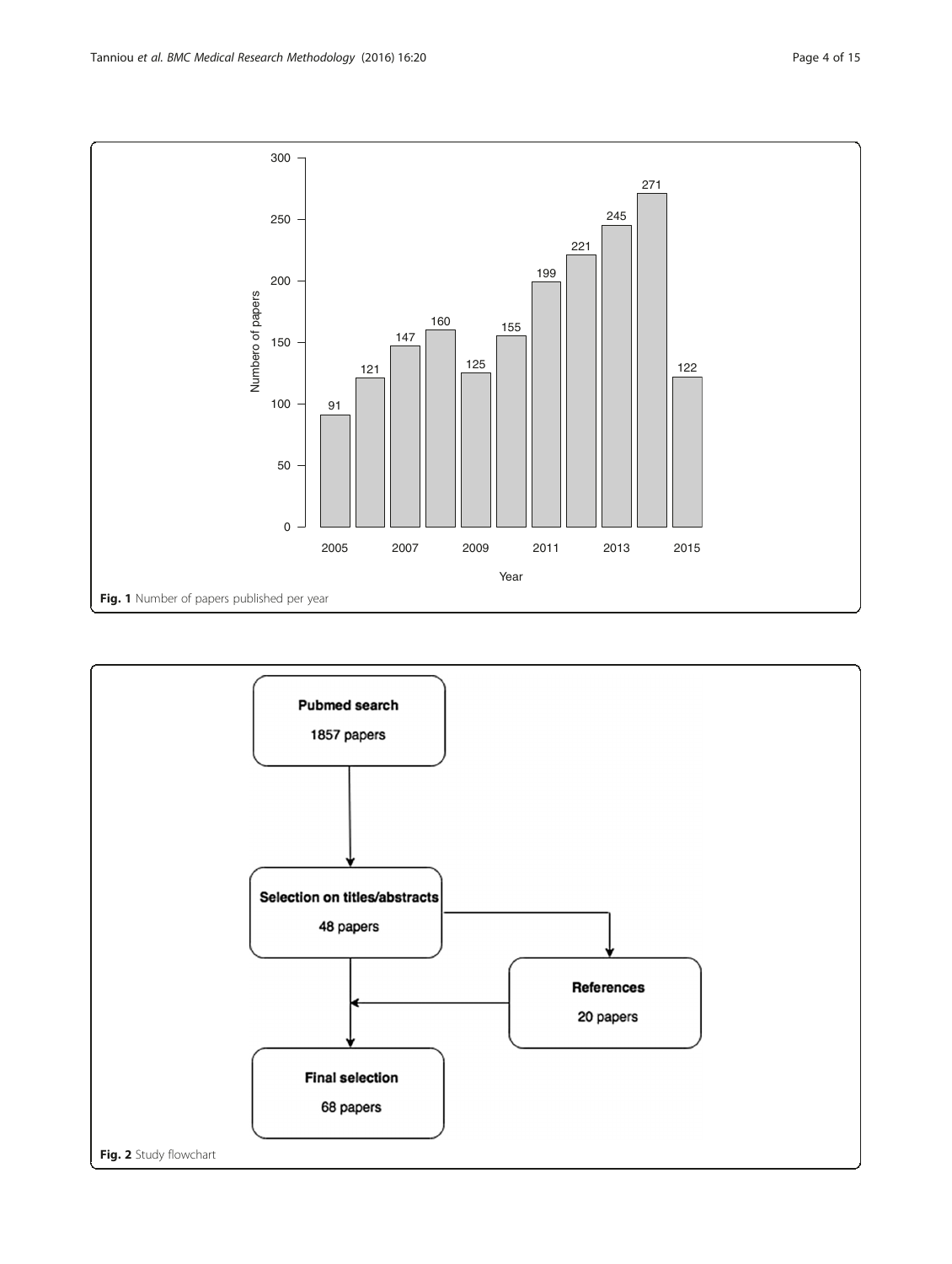<span id="page-3-0"></span>

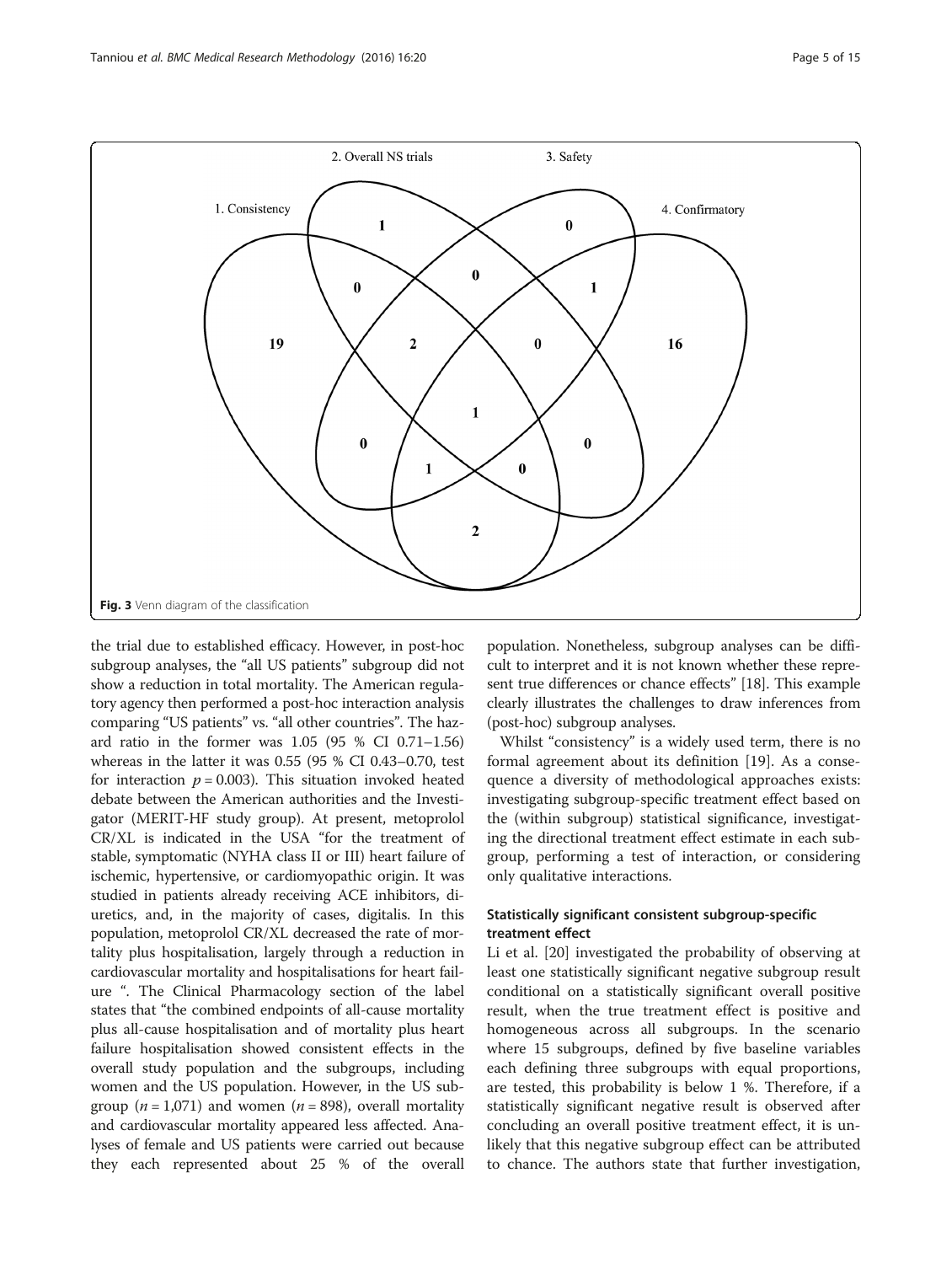<span id="page-4-0"></span>

the trial due to established efficacy. However, in post-hoc subgroup analyses, the "all US patients" subgroup did not show a reduction in total mortality. The American regulatory agency then performed a post-hoc interaction analysis comparing "US patients" vs. "all other countries". The hazard ratio in the former was  $1.05$  (95 % CI 0.71-1.56) whereas in the latter it was 0.55 (95 % CI 0.43–0.70, test for interaction  $p = 0.003$ ). This situation invoked heated debate between the American authorities and the Investigator (MERIT-HF study group). At present, metoprolol CR/XL is indicated in the USA "for the treatment of stable, symptomatic (NYHA class II or III) heart failure of ischemic, hypertensive, or cardiomyopathic origin. It was studied in patients already receiving ACE inhibitors, diuretics, and, in the majority of cases, digitalis. In this population, metoprolol CR/XL decreased the rate of mortality plus hospitalisation, largely through a reduction in cardiovascular mortality and hospitalisations for heart failure ". The Clinical Pharmacology section of the label states that "the combined endpoints of all-cause mortality plus all-cause hospitalisation and of mortality plus heart failure hospitalisation showed consistent effects in the overall study population and the subgroups, including women and the US population. However, in the US subgroup ( $n = 1,071$ ) and women ( $n = 898$ ), overall mortality and cardiovascular mortality appeared less affected. Analyses of female and US patients were carried out because they each represented about 25 % of the overall

population. Nonetheless, subgroup analyses can be difficult to interpret and it is not known whether these represent true differences or chance effects" [[18](#page-13-0)]. This example clearly illustrates the challenges to draw inferences from (post-hoc) subgroup analyses.

Whilst "consistency" is a widely used term, there is no formal agreement about its definition [\[19](#page-13-0)]. As a consequence a diversity of methodological approaches exists: investigating subgroup-specific treatment effect based on the (within subgroup) statistical significance, investigating the directional treatment effect estimate in each subgroup, performing a test of interaction, or considering only qualitative interactions.

# Statistically significant consistent subgroup-specific treatment effect

Li et al. [[20](#page-13-0)] investigated the probability of observing at least one statistically significant negative subgroup result conditional on a statistically significant overall positive result, when the true treatment effect is positive and homogeneous across all subgroups. In the scenario where 15 subgroups, defined by five baseline variables each defining three subgroups with equal proportions, are tested, this probability is below 1 %. Therefore, if a statistically significant negative result is observed after concluding an overall positive treatment effect, it is unlikely that this negative subgroup effect can be attributed to chance. The authors state that further investigation,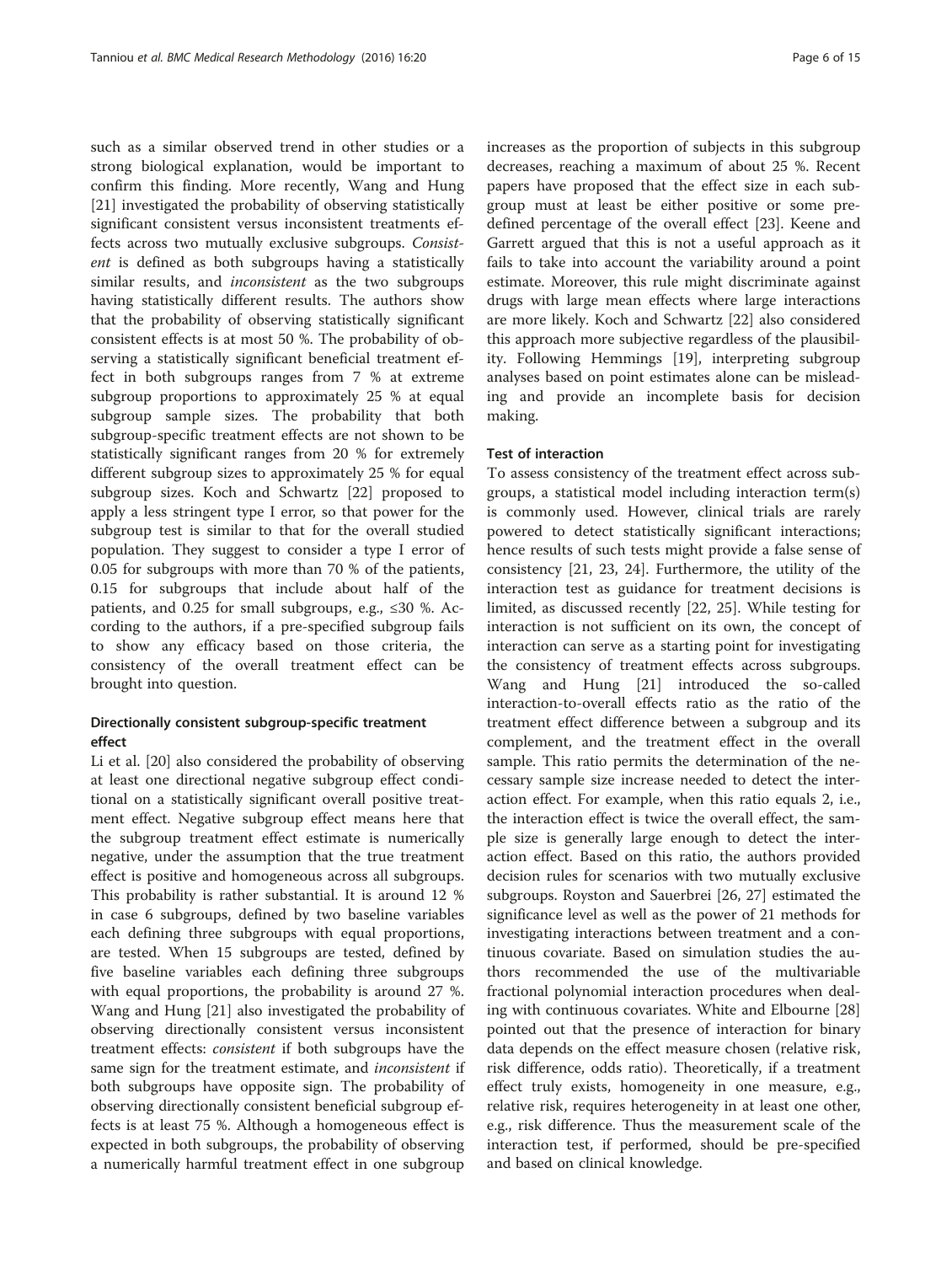such as a similar observed trend in other studies or a strong biological explanation, would be important to confirm this finding. More recently, Wang and Hung [[21\]](#page-13-0) investigated the probability of observing statistically significant consistent versus inconsistent treatments effects across two mutually exclusive subgroups. Consistent is defined as both subgroups having a statistically similar results, and *inconsistent* as the two subgroups having statistically different results. The authors show that the probability of observing statistically significant consistent effects is at most 50 %. The probability of observing a statistically significant beneficial treatment effect in both subgroups ranges from 7 % at extreme subgroup proportions to approximately 25 % at equal subgroup sample sizes. The probability that both subgroup-specific treatment effects are not shown to be statistically significant ranges from 20 % for extremely different subgroup sizes to approximately 25 % for equal subgroup sizes. Koch and Schwartz [\[22](#page-13-0)] proposed to apply a less stringent type I error, so that power for the subgroup test is similar to that for the overall studied population. They suggest to consider a type I error of 0.05 for subgroups with more than 70 % of the patients, 0.15 for subgroups that include about half of the patients, and 0.25 for small subgroups, e.g., ≤30 %. According to the authors, if a pre-specified subgroup fails to show any efficacy based on those criteria, the consistency of the overall treatment effect can be brought into question.

## Directionally consistent subgroup-specific treatment effect

Li et al. [\[20\]](#page-13-0) also considered the probability of observing at least one directional negative subgroup effect conditional on a statistically significant overall positive treatment effect. Negative subgroup effect means here that the subgroup treatment effect estimate is numerically negative, under the assumption that the true treatment effect is positive and homogeneous across all subgroups. This probability is rather substantial. It is around 12 % in case 6 subgroups, defined by two baseline variables each defining three subgroups with equal proportions, are tested. When 15 subgroups are tested, defined by five baseline variables each defining three subgroups with equal proportions, the probability is around 27 %. Wang and Hung [\[21](#page-13-0)] also investigated the probability of observing directionally consistent versus inconsistent treatment effects: consistent if both subgroups have the same sign for the treatment estimate, and *inconsistent* if both subgroups have opposite sign. The probability of observing directionally consistent beneficial subgroup effects is at least 75 %. Although a homogeneous effect is expected in both subgroups, the probability of observing a numerically harmful treatment effect in one subgroup

increases as the proportion of subjects in this subgroup decreases, reaching a maximum of about 25 %. Recent papers have proposed that the effect size in each subgroup must at least be either positive or some predefined percentage of the overall effect [[23](#page-13-0)]. Keene and Garrett argued that this is not a useful approach as it fails to take into account the variability around a point estimate. Moreover, this rule might discriminate against drugs with large mean effects where large interactions are more likely. Koch and Schwartz [[22\]](#page-13-0) also considered this approach more subjective regardless of the plausibility. Following Hemmings [\[19\]](#page-13-0), interpreting subgroup analyses based on point estimates alone can be misleading and provide an incomplete basis for decision making.

## Test of interaction

To assess consistency of the treatment effect across subgroups, a statistical model including interaction term(s) is commonly used. However, clinical trials are rarely powered to detect statistically significant interactions; hence results of such tests might provide a false sense of consistency [[21, 23, 24\]](#page-13-0). Furthermore, the utility of the interaction test as guidance for treatment decisions is limited, as discussed recently [[22, 25](#page-13-0)]. While testing for interaction is not sufficient on its own, the concept of interaction can serve as a starting point for investigating the consistency of treatment effects across subgroups. Wang and Hung [\[21](#page-13-0)] introduced the so-called interaction-to-overall effects ratio as the ratio of the treatment effect difference between a subgroup and its complement, and the treatment effect in the overall sample. This ratio permits the determination of the necessary sample size increase needed to detect the interaction effect. For example, when this ratio equals 2, i.e., the interaction effect is twice the overall effect, the sample size is generally large enough to detect the interaction effect. Based on this ratio, the authors provided decision rules for scenarios with two mutually exclusive subgroups. Royston and Sauerbrei [[26, 27\]](#page-13-0) estimated the significance level as well as the power of 21 methods for investigating interactions between treatment and a continuous covariate. Based on simulation studies the authors recommended the use of the multivariable fractional polynomial interaction procedures when dealing with continuous covariates. White and Elbourne [[28](#page-13-0)] pointed out that the presence of interaction for binary data depends on the effect measure chosen (relative risk, risk difference, odds ratio). Theoretically, if a treatment effect truly exists, homogeneity in one measure, e.g., relative risk, requires heterogeneity in at least one other, e.g., risk difference. Thus the measurement scale of the interaction test, if performed, should be pre-specified and based on clinical knowledge.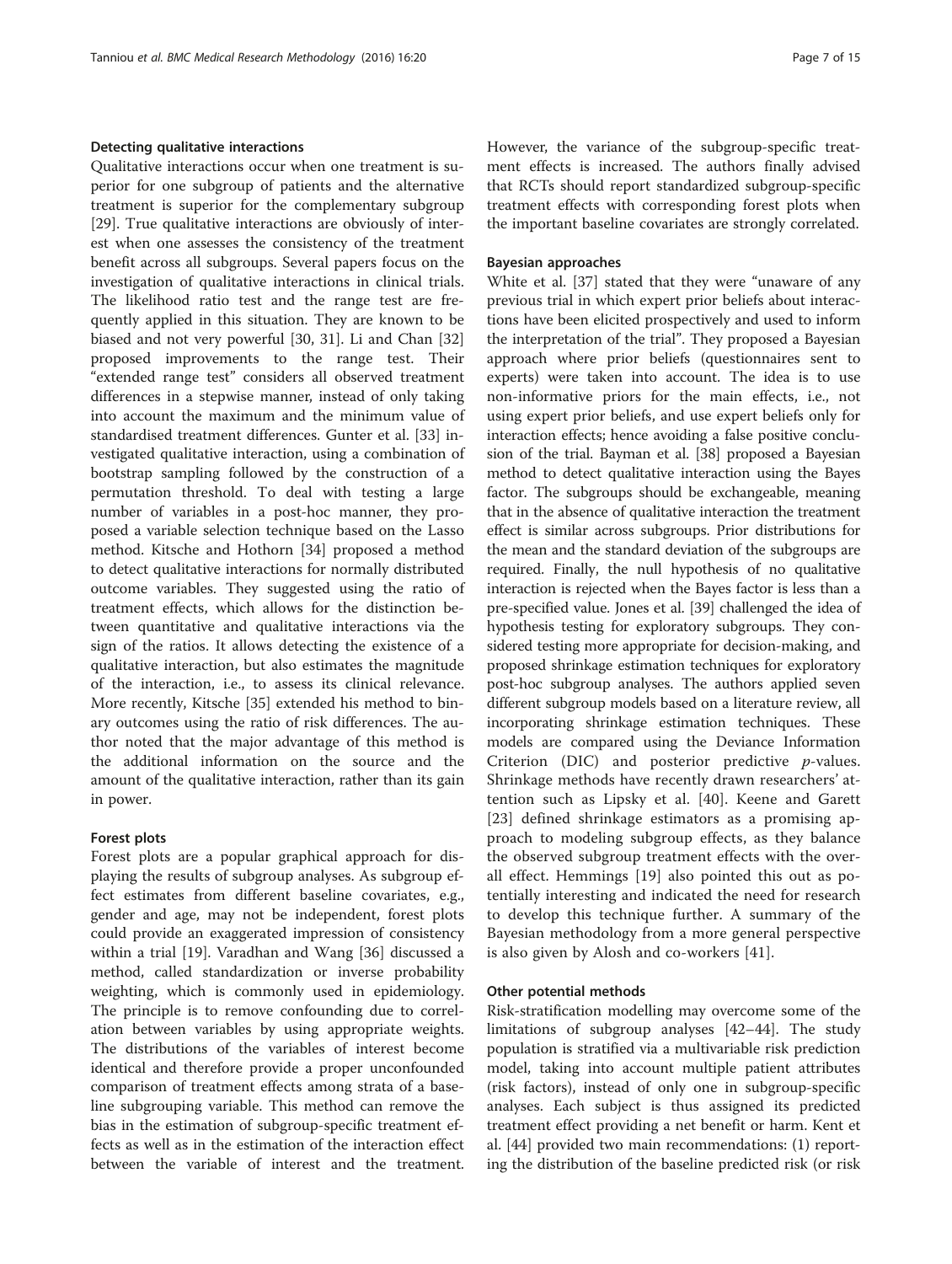#### Detecting qualitative interactions

Qualitative interactions occur when one treatment is superior for one subgroup of patients and the alternative treatment is superior for the complementary subgroup [[29\]](#page-13-0). True qualitative interactions are obviously of interest when one assesses the consistency of the treatment benefit across all subgroups. Several papers focus on the investigation of qualitative interactions in clinical trials. The likelihood ratio test and the range test are frequently applied in this situation. They are known to be biased and not very powerful [[30, 31](#page-13-0)]. Li and Chan [[32](#page-13-0)] proposed improvements to the range test. Their "extended range test" considers all observed treatment differences in a stepwise manner, instead of only taking into account the maximum and the minimum value of standardised treatment differences. Gunter et al. [[33\]](#page-13-0) investigated qualitative interaction, using a combination of bootstrap sampling followed by the construction of a permutation threshold. To deal with testing a large number of variables in a post-hoc manner, they proposed a variable selection technique based on the Lasso method. Kitsche and Hothorn [\[34](#page-13-0)] proposed a method to detect qualitative interactions for normally distributed outcome variables. They suggested using the ratio of treatment effects, which allows for the distinction between quantitative and qualitative interactions via the sign of the ratios. It allows detecting the existence of a qualitative interaction, but also estimates the magnitude of the interaction, i.e., to assess its clinical relevance. More recently, Kitsche [[35](#page-13-0)] extended his method to binary outcomes using the ratio of risk differences. The author noted that the major advantage of this method is the additional information on the source and the amount of the qualitative interaction, rather than its gain in power.

## Forest plots

Forest plots are a popular graphical approach for displaying the results of subgroup analyses. As subgroup effect estimates from different baseline covariates, e.g., gender and age, may not be independent, forest plots could provide an exaggerated impression of consistency within a trial [\[19\]](#page-13-0). Varadhan and Wang [[36\]](#page-13-0) discussed a method, called standardization or inverse probability weighting, which is commonly used in epidemiology. The principle is to remove confounding due to correlation between variables by using appropriate weights. The distributions of the variables of interest become identical and therefore provide a proper unconfounded comparison of treatment effects among strata of a baseline subgrouping variable. This method can remove the bias in the estimation of subgroup-specific treatment effects as well as in the estimation of the interaction effect between the variable of interest and the treatment. However, the variance of the subgroup-specific treatment effects is increased. The authors finally advised that RCTs should report standardized subgroup-specific treatment effects with corresponding forest plots when the important baseline covariates are strongly correlated.

#### Bayesian approaches

White et al. [[37](#page-13-0)] stated that they were "unaware of any previous trial in which expert prior beliefs about interactions have been elicited prospectively and used to inform the interpretation of the trial". They proposed a Bayesian approach where prior beliefs (questionnaires sent to experts) were taken into account. The idea is to use non-informative priors for the main effects, i.e., not using expert prior beliefs, and use expert beliefs only for interaction effects; hence avoiding a false positive conclusion of the trial. Bayman et al. [\[38\]](#page-13-0) proposed a Bayesian method to detect qualitative interaction using the Bayes factor. The subgroups should be exchangeable, meaning that in the absence of qualitative interaction the treatment effect is similar across subgroups. Prior distributions for the mean and the standard deviation of the subgroups are required. Finally, the null hypothesis of no qualitative interaction is rejected when the Bayes factor is less than a pre-specified value. Jones et al. [[39](#page-13-0)] challenged the idea of hypothesis testing for exploratory subgroups. They considered testing more appropriate for decision-making, and proposed shrinkage estimation techniques for exploratory post-hoc subgroup analyses. The authors applied seven different subgroup models based on a literature review, all incorporating shrinkage estimation techniques. These models are compared using the Deviance Information Criterion (DIC) and posterior predictive  $p$ -values. Shrinkage methods have recently drawn researchers' attention such as Lipsky et al. [\[40](#page-13-0)]. Keene and Garett [[23\]](#page-13-0) defined shrinkage estimators as a promising approach to modeling subgroup effects, as they balance the observed subgroup treatment effects with the overall effect. Hemmings [[19\]](#page-13-0) also pointed this out as potentially interesting and indicated the need for research to develop this technique further. A summary of the Bayesian methodology from a more general perspective is also given by Alosh and co-workers [\[41](#page-13-0)].

#### Other potential methods

Risk-stratification modelling may overcome some of the limitations of subgroup analyses [[42](#page-13-0)–[44](#page-13-0)]. The study population is stratified via a multivariable risk prediction model, taking into account multiple patient attributes (risk factors), instead of only one in subgroup-specific analyses. Each subject is thus assigned its predicted treatment effect providing a net benefit or harm. Kent et al. [\[44\]](#page-13-0) provided two main recommendations: (1) reporting the distribution of the baseline predicted risk (or risk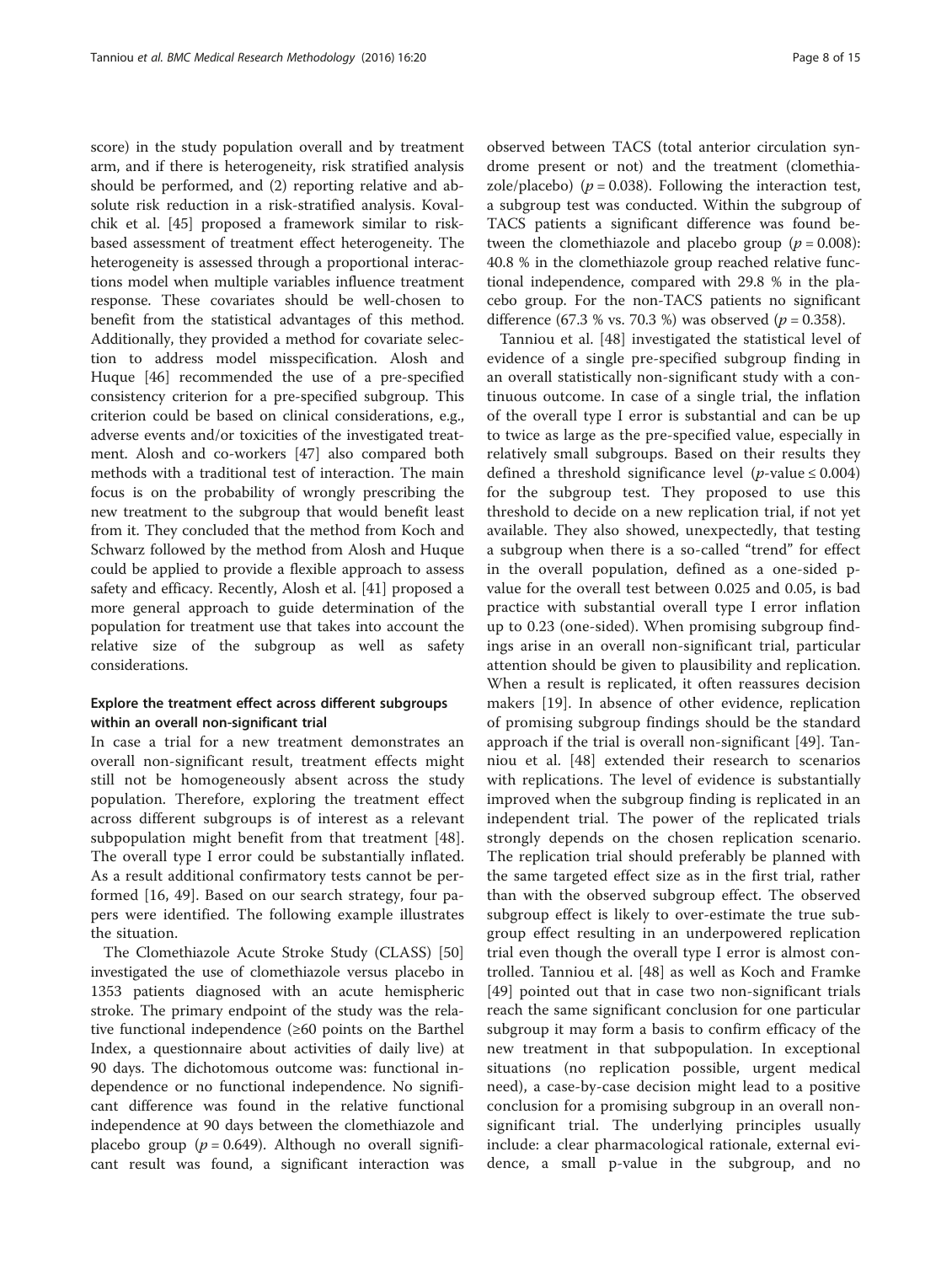score) in the study population overall and by treatment arm, and if there is heterogeneity, risk stratified analysis should be performed, and (2) reporting relative and absolute risk reduction in a risk-stratified analysis. Kovalchik et al. [\[45\]](#page-13-0) proposed a framework similar to riskbased assessment of treatment effect heterogeneity. The heterogeneity is assessed through a proportional interactions model when multiple variables influence treatment response. These covariates should be well-chosen to benefit from the statistical advantages of this method. Additionally, they provided a method for covariate selection to address model misspecification. Alosh and Huque [\[46](#page-13-0)] recommended the use of a pre-specified consistency criterion for a pre-specified subgroup. This criterion could be based on clinical considerations, e.g., adverse events and/or toxicities of the investigated treatment. Alosh and co-workers [\[47](#page-13-0)] also compared both methods with a traditional test of interaction. The main focus is on the probability of wrongly prescribing the new treatment to the subgroup that would benefit least from it. They concluded that the method from Koch and Schwarz followed by the method from Alosh and Huque could be applied to provide a flexible approach to assess safety and efficacy. Recently, Alosh et al. [\[41](#page-13-0)] proposed a more general approach to guide determination of the population for treatment use that takes into account the relative size of the subgroup as well as safety considerations.

## Explore the treatment effect across different subgroups within an overall non-significant trial

In case a trial for a new treatment demonstrates an overall non-significant result, treatment effects might still not be homogeneously absent across the study population. Therefore, exploring the treatment effect across different subgroups is of interest as a relevant subpopulation might benefit from that treatment [[48](#page-13-0)]. The overall type I error could be substantially inflated. As a result additional confirmatory tests cannot be performed [\[16,](#page-12-0) [49](#page-13-0)]. Based on our search strategy, four papers were identified. The following example illustrates the situation.

The Clomethiazole Acute Stroke Study (CLASS) [[50](#page-13-0)] investigated the use of clomethiazole versus placebo in 1353 patients diagnosed with an acute hemispheric stroke. The primary endpoint of the study was the relative functional independence (≥60 points on the Barthel Index, a questionnaire about activities of daily live) at 90 days. The dichotomous outcome was: functional independence or no functional independence. No significant difference was found in the relative functional independence at 90 days between the clomethiazole and placebo group ( $p = 0.649$ ). Although no overall significant result was found, a significant interaction was

observed between TACS (total anterior circulation syndrome present or not) and the treatment (clomethiazole/placebo) ( $p = 0.038$ ). Following the interaction test, a subgroup test was conducted. Within the subgroup of TACS patients a significant difference was found between the clomethiazole and placebo group ( $p = 0.008$ ): 40.8 % in the clomethiazole group reached relative functional independence, compared with 29.8 % in the placebo group. For the non-TACS patients no significant difference (67.3 % vs. 70.3 %) was observed ( $p = 0.358$ ).

Tanniou et al. [[48\]](#page-13-0) investigated the statistical level of evidence of a single pre-specified subgroup finding in an overall statistically non-significant study with a continuous outcome. In case of a single trial, the inflation of the overall type I error is substantial and can be up to twice as large as the pre-specified value, especially in relatively small subgroups. Based on their results they defined a threshold significance level (*p*-value  $\leq 0.004$ ) for the subgroup test. They proposed to use this threshold to decide on a new replication trial, if not yet available. They also showed, unexpectedly, that testing a subgroup when there is a so-called "trend" for effect in the overall population, defined as a one-sided pvalue for the overall test between 0.025 and 0.05, is bad practice with substantial overall type I error inflation up to 0.23 (one-sided). When promising subgroup findings arise in an overall non-significant trial, particular attention should be given to plausibility and replication. When a result is replicated, it often reassures decision makers [\[19](#page-13-0)]. In absence of other evidence, replication of promising subgroup findings should be the standard approach if the trial is overall non-significant [[49\]](#page-13-0). Tanniou et al. [[48\]](#page-13-0) extended their research to scenarios with replications. The level of evidence is substantially improved when the subgroup finding is replicated in an independent trial. The power of the replicated trials strongly depends on the chosen replication scenario. The replication trial should preferably be planned with the same targeted effect size as in the first trial, rather than with the observed subgroup effect. The observed subgroup effect is likely to over-estimate the true subgroup effect resulting in an underpowered replication trial even though the overall type I error is almost controlled. Tanniou et al. [[48\]](#page-13-0) as well as Koch and Framke [[49\]](#page-13-0) pointed out that in case two non-significant trials reach the same significant conclusion for one particular subgroup it may form a basis to confirm efficacy of the new treatment in that subpopulation. In exceptional situations (no replication possible, urgent medical need), a case-by-case decision might lead to a positive conclusion for a promising subgroup in an overall nonsignificant trial. The underlying principles usually include: a clear pharmacological rationale, external evidence, a small p-value in the subgroup, and no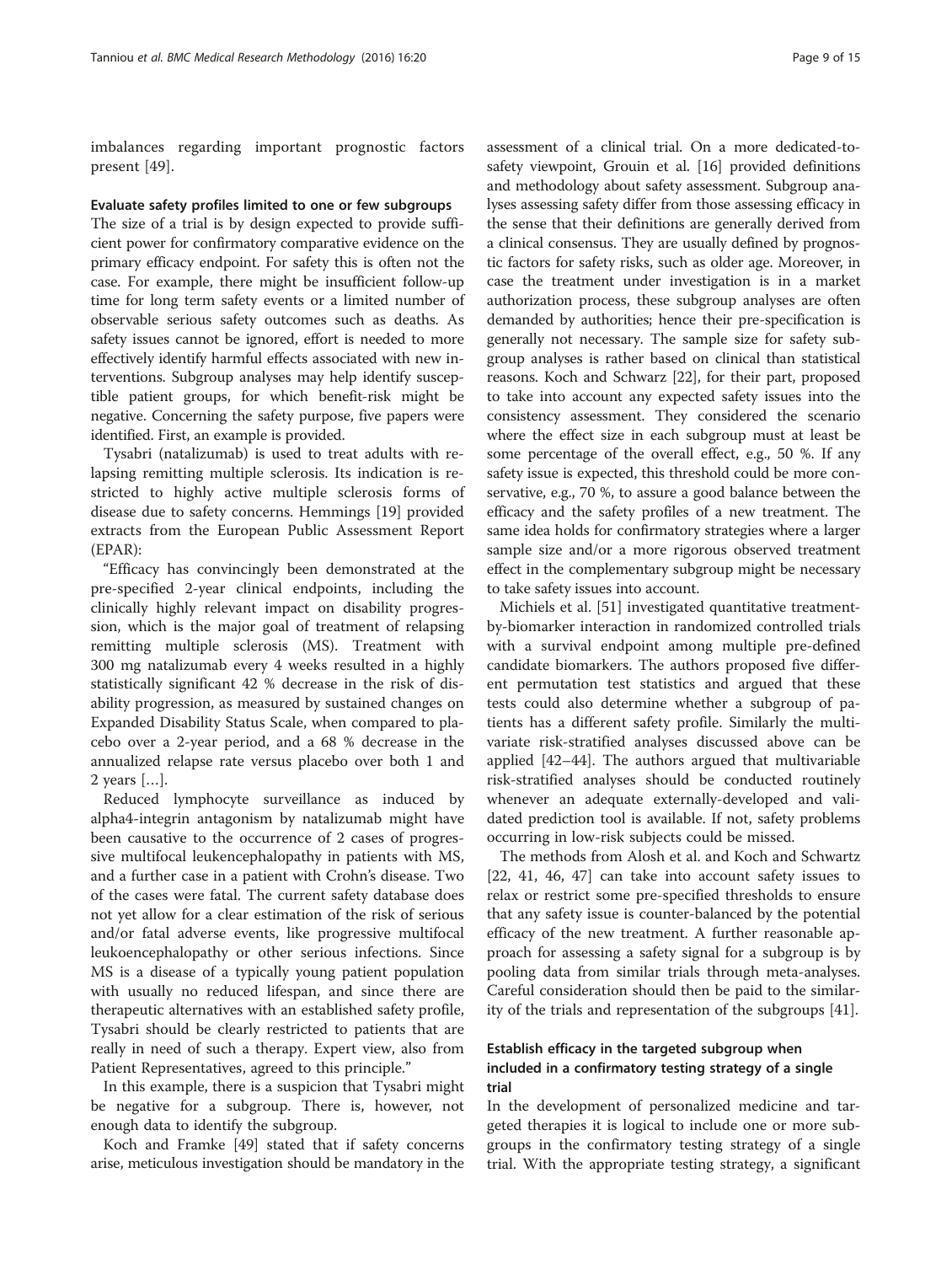imbalances regarding important prognostic factors present [[49\]](#page-13-0).

## Evaluate safety profiles limited to one or few subgroups

The size of a trial is by design expected to provide sufficient power for confirmatory comparative evidence on the primary efficacy endpoint. For safety this is often not the case. For example, there might be insufficient follow-up time for long term safety events or a limited number of observable serious safety outcomes such as deaths. As safety issues cannot be ignored, effort is needed to more effectively identify harmful effects associated with new interventions. Subgroup analyses may help identify susceptible patient groups, for which benefit-risk might be negative. Concerning the safety purpose, five papers were identified. First, an example is provided.

Tysabri (natalizumab) is used to treat adults with relapsing remitting multiple sclerosis. Its indication is restricted to highly active multiple sclerosis forms of disease due to safety concerns. Hemmings [\[19](#page-13-0)] provided extracts from the European Public Assessment Report (EPAR):

"Efficacy has convincingly been demonstrated at the pre-specified 2-year clinical endpoints, including the clinically highly relevant impact on disability progression, which is the major goal of treatment of relapsing remitting multiple sclerosis (MS). Treatment with 300 mg natalizumab every 4 weeks resulted in a highly statistically significant 42 % decrease in the risk of disability progression, as measured by sustained changes on Expanded Disability Status Scale, when compared to placebo over a 2-year period, and a 68 % decrease in the annualized relapse rate versus placebo over both 1 and 2 years […].

Reduced lymphocyte surveillance as induced by alpha4-integrin antagonism by natalizumab might have been causative to the occurrence of 2 cases of progressive multifocal leukencephalopathy in patients with MS, and a further case in a patient with Crohn's disease. Two of the cases were fatal. The current safety database does not yet allow for a clear estimation of the risk of serious and/or fatal adverse events, like progressive multifocal leukoencephalopathy or other serious infections. Since MS is a disease of a typically young patient population with usually no reduced lifespan, and since there are therapeutic alternatives with an established safety profile, Tysabri should be clearly restricted to patients that are really in need of such a therapy. Expert view, also from Patient Representatives, agreed to this principle."

In this example, there is a suspicion that Tysabri might be negative for a subgroup. There is, however, not enough data to identify the subgroup.

Koch and Framke [\[49\]](#page-13-0) stated that if safety concerns arise, meticulous investigation should be mandatory in the

assessment of a clinical trial. On a more dedicated-tosafety viewpoint, Grouin et al. [\[16\]](#page-12-0) provided definitions and methodology about safety assessment. Subgroup analyses assessing safety differ from those assessing efficacy in the sense that their definitions are generally derived from a clinical consensus. They are usually defined by prognostic factors for safety risks, such as older age. Moreover, in case the treatment under investigation is in a market authorization process, these subgroup analyses are often demanded by authorities; hence their pre-specification is generally not necessary. The sample size for safety subgroup analyses is rather based on clinical than statistical reasons. Koch and Schwarz [[22](#page-13-0)], for their part, proposed to take into account any expected safety issues into the consistency assessment. They considered the scenario where the effect size in each subgroup must at least be some percentage of the overall effect, e.g., 50 %. If any safety issue is expected, this threshold could be more conservative, e.g., 70 %, to assure a good balance between the efficacy and the safety profiles of a new treatment. The same idea holds for confirmatory strategies where a larger sample size and/or a more rigorous observed treatment effect in the complementary subgroup might be necessary to take safety issues into account.

Michiels et al. [\[51](#page-13-0)] investigated quantitative treatmentby-biomarker interaction in randomized controlled trials with a survival endpoint among multiple pre-defined candidate biomarkers. The authors proposed five different permutation test statistics and argued that these tests could also determine whether a subgroup of patients has a different safety profile. Similarly the multivariate risk-stratified analyses discussed above can be applied [[42](#page-13-0)–[44](#page-13-0)]. The authors argued that multivariable risk-stratified analyses should be conducted routinely whenever an adequate externally-developed and validated prediction tool is available. If not, safety problems occurring in low-risk subjects could be missed.

The methods from Alosh et al. and Koch and Schwartz [[22, 41](#page-13-0), [46](#page-13-0), [47\]](#page-13-0) can take into account safety issues to relax or restrict some pre-specified thresholds to ensure that any safety issue is counter-balanced by the potential efficacy of the new treatment. A further reasonable approach for assessing a safety signal for a subgroup is by pooling data from similar trials through meta-analyses. Careful consideration should then be paid to the similarity of the trials and representation of the subgroups [\[41\]](#page-13-0).

# Establish efficacy in the targeted subgroup when included in a confirmatory testing strategy of a single trial

In the development of personalized medicine and targeted therapies it is logical to include one or more subgroups in the confirmatory testing strategy of a single trial. With the appropriate testing strategy, a significant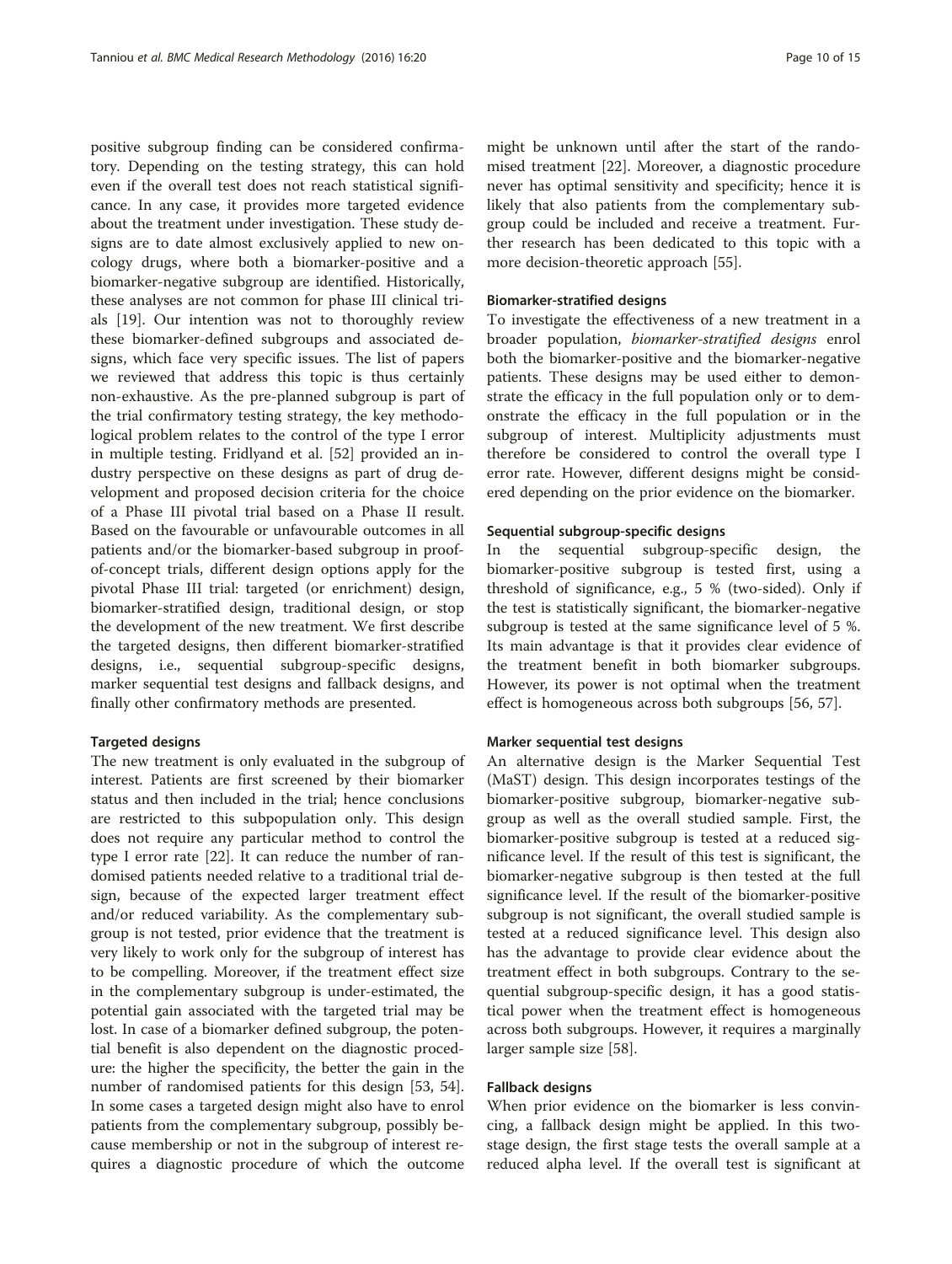positive subgroup finding can be considered confirmatory. Depending on the testing strategy, this can hold even if the overall test does not reach statistical significance. In any case, it provides more targeted evidence about the treatment under investigation. These study designs are to date almost exclusively applied to new oncology drugs, where both a biomarker-positive and a biomarker-negative subgroup are identified. Historically, these analyses are not common for phase III clinical trials [[19\]](#page-13-0). Our intention was not to thoroughly review these biomarker-defined subgroups and associated designs, which face very specific issues. The list of papers we reviewed that address this topic is thus certainly non-exhaustive. As the pre-planned subgroup is part of the trial confirmatory testing strategy, the key methodological problem relates to the control of the type I error in multiple testing. Fridlyand et al. [[52\]](#page-13-0) provided an industry perspective on these designs as part of drug development and proposed decision criteria for the choice of a Phase III pivotal trial based on a Phase II result. Based on the favourable or unfavourable outcomes in all patients and/or the biomarker-based subgroup in proofof-concept trials, different design options apply for the pivotal Phase III trial: targeted (or enrichment) design, biomarker-stratified design, traditional design, or stop the development of the new treatment. We first describe the targeted designs, then different biomarker-stratified designs, i.e., sequential subgroup-specific designs, marker sequential test designs and fallback designs, and finally other confirmatory methods are presented.

#### Targeted designs

The new treatment is only evaluated in the subgroup of interest. Patients are first screened by their biomarker status and then included in the trial; hence conclusions are restricted to this subpopulation only. This design does not require any particular method to control the type I error rate [\[22](#page-13-0)]. It can reduce the number of randomised patients needed relative to a traditional trial design, because of the expected larger treatment effect and/or reduced variability. As the complementary subgroup is not tested, prior evidence that the treatment is very likely to work only for the subgroup of interest has to be compelling. Moreover, if the treatment effect size in the complementary subgroup is under-estimated, the potential gain associated with the targeted trial may be lost. In case of a biomarker defined subgroup, the potential benefit is also dependent on the diagnostic procedure: the higher the specificity, the better the gain in the number of randomised patients for this design [[53](#page-13-0), [54](#page-13-0)]. In some cases a targeted design might also have to enrol patients from the complementary subgroup, possibly because membership or not in the subgroup of interest requires a diagnostic procedure of which the outcome

might be unknown until after the start of the randomised treatment [[22](#page-13-0)]. Moreover, a diagnostic procedure never has optimal sensitivity and specificity; hence it is likely that also patients from the complementary subgroup could be included and receive a treatment. Further research has been dedicated to this topic with a more decision-theoretic approach [\[55\]](#page-13-0).

## Biomarker-stratified designs

To investigate the effectiveness of a new treatment in a broader population, biomarker-stratified designs enrol both the biomarker-positive and the biomarker-negative patients. These designs may be used either to demonstrate the efficacy in the full population only or to demonstrate the efficacy in the full population or in the subgroup of interest. Multiplicity adjustments must therefore be considered to control the overall type I error rate. However, different designs might be considered depending on the prior evidence on the biomarker.

## Sequential subgroup-specific designs

In the sequential subgroup-specific design, the biomarker-positive subgroup is tested first, using a threshold of significance, e.g., 5 % (two-sided). Only if the test is statistically significant, the biomarker-negative subgroup is tested at the same significance level of 5 %. Its main advantage is that it provides clear evidence of the treatment benefit in both biomarker subgroups. However, its power is not optimal when the treatment effect is homogeneous across both subgroups [[56, 57\]](#page-13-0).

## Marker sequential test designs

An alternative design is the Marker Sequential Test (MaST) design. This design incorporates testings of the biomarker-positive subgroup, biomarker-negative subgroup as well as the overall studied sample. First, the biomarker-positive subgroup is tested at a reduced significance level. If the result of this test is significant, the biomarker-negative subgroup is then tested at the full significance level. If the result of the biomarker-positive subgroup is not significant, the overall studied sample is tested at a reduced significance level. This design also has the advantage to provide clear evidence about the treatment effect in both subgroups. Contrary to the sequential subgroup-specific design, it has a good statistical power when the treatment effect is homogeneous across both subgroups. However, it requires a marginally larger sample size [[58\]](#page-13-0).

## Fallback designs

When prior evidence on the biomarker is less convincing, a fallback design might be applied. In this twostage design, the first stage tests the overall sample at a reduced alpha level. If the overall test is significant at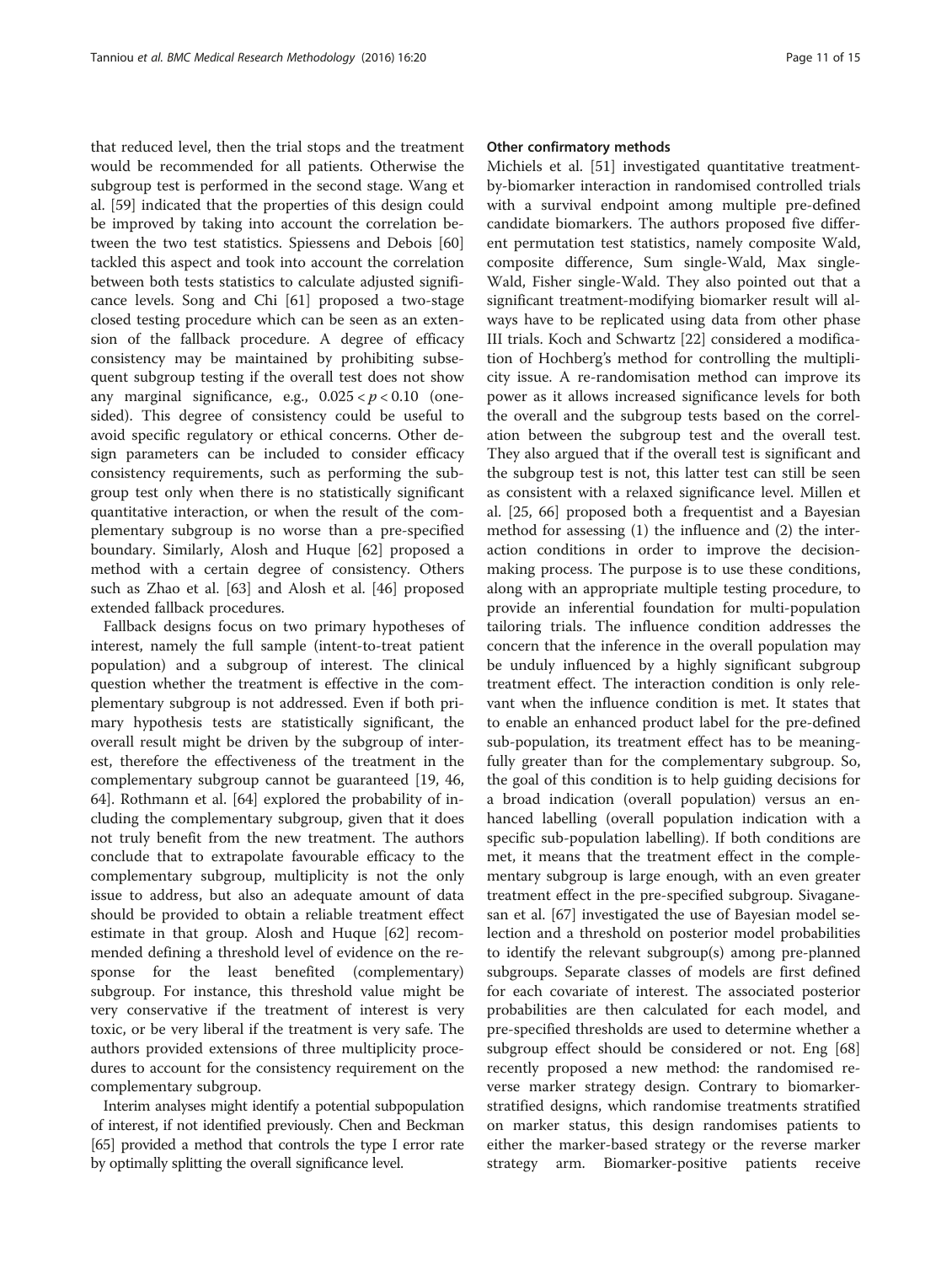that reduced level, then the trial stops and the treatment would be recommended for all patients. Otherwise the subgroup test is performed in the second stage. Wang et al. [\[59](#page-13-0)] indicated that the properties of this design could be improved by taking into account the correlation between the two test statistics. Spiessens and Debois [[60](#page-13-0)] tackled this aspect and took into account the correlation between both tests statistics to calculate adjusted significance levels. Song and Chi [[61](#page-13-0)] proposed a two-stage closed testing procedure which can be seen as an extension of the fallback procedure. A degree of efficacy consistency may be maintained by prohibiting subsequent subgroup testing if the overall test does not show any marginal significance, e.g.,  $0.025 < p < 0.10$  (onesided). This degree of consistency could be useful to avoid specific regulatory or ethical concerns. Other design parameters can be included to consider efficacy consistency requirements, such as performing the subgroup test only when there is no statistically significant quantitative interaction, or when the result of the complementary subgroup is no worse than a pre-specified boundary. Similarly, Alosh and Huque [[62\]](#page-13-0) proposed a method with a certain degree of consistency. Others such as Zhao et al. [[63](#page-13-0)] and Alosh et al. [[46\]](#page-13-0) proposed extended fallback procedures.

Fallback designs focus on two primary hypotheses of interest, namely the full sample (intent-to-treat patient population) and a subgroup of interest. The clinical question whether the treatment is effective in the complementary subgroup is not addressed. Even if both primary hypothesis tests are statistically significant, the overall result might be driven by the subgroup of interest, therefore the effectiveness of the treatment in the complementary subgroup cannot be guaranteed [[19, 46](#page-13-0), [64\]](#page-13-0). Rothmann et al. [[64](#page-13-0)] explored the probability of including the complementary subgroup, given that it does not truly benefit from the new treatment. The authors conclude that to extrapolate favourable efficacy to the complementary subgroup, multiplicity is not the only issue to address, but also an adequate amount of data should be provided to obtain a reliable treatment effect estimate in that group. Alosh and Huque [\[62](#page-13-0)] recommended defining a threshold level of evidence on the response for the least benefited (complementary) subgroup. For instance, this threshold value might be very conservative if the treatment of interest is very toxic, or be very liberal if the treatment is very safe. The authors provided extensions of three multiplicity procedures to account for the consistency requirement on the complementary subgroup.

Interim analyses might identify a potential subpopulation of interest, if not identified previously. Chen and Beckman [[65](#page-13-0)] provided a method that controls the type I error rate by optimally splitting the overall significance level.

## Other confirmatory methods

Michiels et al. [\[51](#page-13-0)] investigated quantitative treatmentby-biomarker interaction in randomised controlled trials with a survival endpoint among multiple pre-defined candidate biomarkers. The authors proposed five different permutation test statistics, namely composite Wald, composite difference, Sum single-Wald, Max single-Wald, Fisher single-Wald. They also pointed out that a significant treatment-modifying biomarker result will always have to be replicated using data from other phase III trials. Koch and Schwartz [[22\]](#page-13-0) considered a modification of Hochberg's method for controlling the multiplicity issue. A re-randomisation method can improve its power as it allows increased significance levels for both the overall and the subgroup tests based on the correlation between the subgroup test and the overall test. They also argued that if the overall test is significant and the subgroup test is not, this latter test can still be seen as consistent with a relaxed significance level. Millen et al. [\[25, 66](#page-13-0)] proposed both a frequentist and a Bayesian method for assessing (1) the influence and (2) the interaction conditions in order to improve the decisionmaking process. The purpose is to use these conditions, along with an appropriate multiple testing procedure, to provide an inferential foundation for multi-population tailoring trials. The influence condition addresses the concern that the inference in the overall population may be unduly influenced by a highly significant subgroup treatment effect. The interaction condition is only relevant when the influence condition is met. It states that to enable an enhanced product label for the pre-defined sub-population, its treatment effect has to be meaningfully greater than for the complementary subgroup. So, the goal of this condition is to help guiding decisions for a broad indication (overall population) versus an enhanced labelling (overall population indication with a specific sub-population labelling). If both conditions are met, it means that the treatment effect in the complementary subgroup is large enough, with an even greater treatment effect in the pre-specified subgroup. Sivaganesan et al. [[67\]](#page-13-0) investigated the use of Bayesian model selection and a threshold on posterior model probabilities to identify the relevant subgroup(s) among pre-planned subgroups. Separate classes of models are first defined for each covariate of interest. The associated posterior probabilities are then calculated for each model, and pre-specified thresholds are used to determine whether a subgroup effect should be considered or not. Eng [[68](#page-13-0)] recently proposed a new method: the randomised reverse marker strategy design. Contrary to biomarkerstratified designs, which randomise treatments stratified on marker status, this design randomises patients to either the marker-based strategy or the reverse marker strategy arm. Biomarker-positive patients receive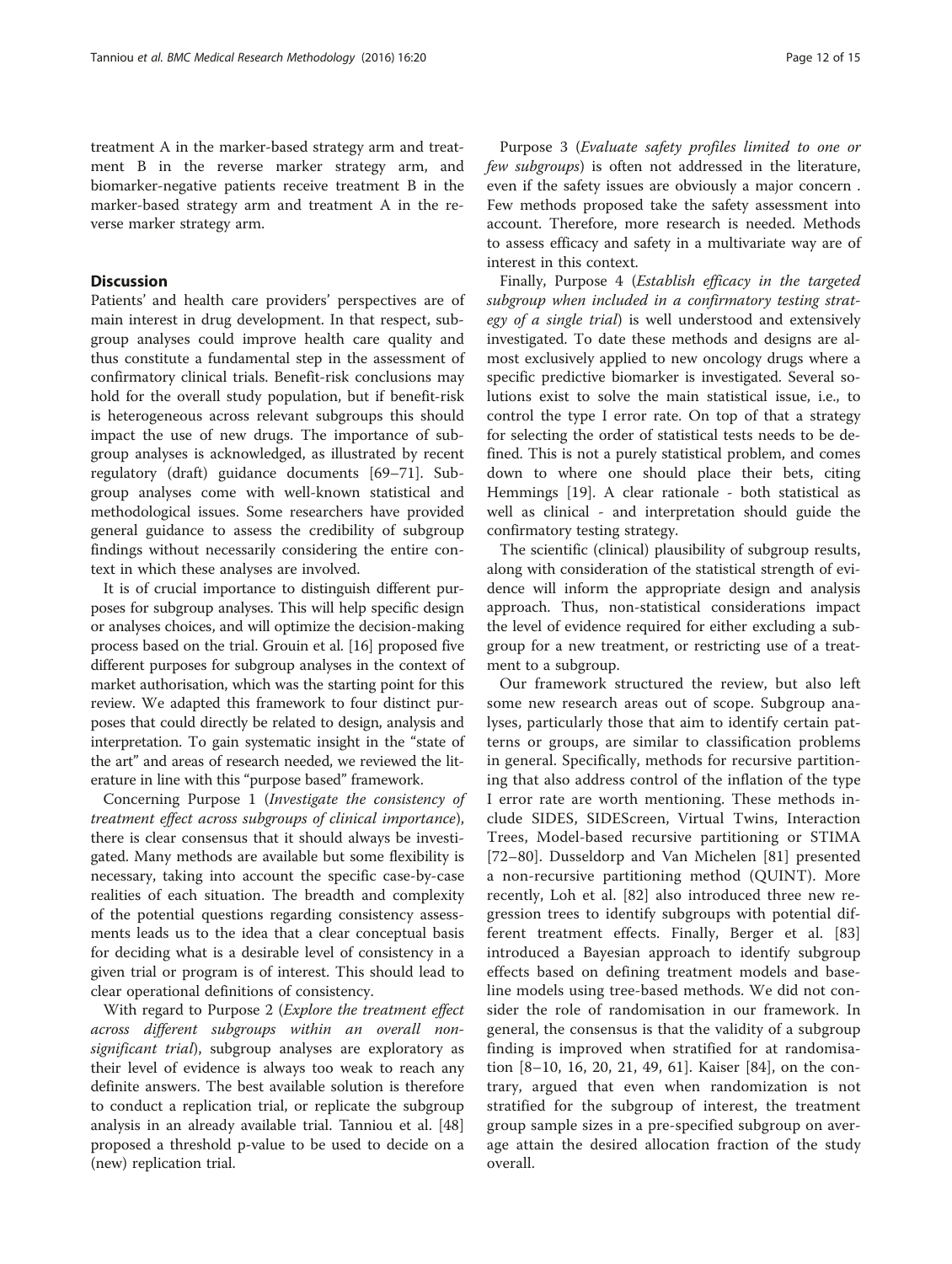treatment A in the marker-based strategy arm and treatment B in the reverse marker strategy arm, and biomarker-negative patients receive treatment B in the marker-based strategy arm and treatment A in the reverse marker strategy arm.

# **Discussion**

Patients' and health care providers' perspectives are of main interest in drug development. In that respect, subgroup analyses could improve health care quality and thus constitute a fundamental step in the assessment of confirmatory clinical trials. Benefit-risk conclusions may hold for the overall study population, but if benefit-risk is heterogeneous across relevant subgroups this should impact the use of new drugs. The importance of subgroup analyses is acknowledged, as illustrated by recent regulatory (draft) guidance documents [\[69](#page-13-0)–[71\]](#page-13-0). Subgroup analyses come with well-known statistical and methodological issues. Some researchers have provided general guidance to assess the credibility of subgroup findings without necessarily considering the entire context in which these analyses are involved.

It is of crucial importance to distinguish different purposes for subgroup analyses. This will help specific design or analyses choices, and will optimize the decision-making process based on the trial. Grouin et al. [\[16\]](#page-12-0) proposed five different purposes for subgroup analyses in the context of market authorisation, which was the starting point for this review. We adapted this framework to four distinct purposes that could directly be related to design, analysis and interpretation. To gain systematic insight in the "state of the art" and areas of research needed, we reviewed the literature in line with this "purpose based" framework.

Concerning Purpose 1 (Investigate the consistency of treatment effect across subgroups of clinical importance), there is clear consensus that it should always be investigated. Many methods are available but some flexibility is necessary, taking into account the specific case-by-case realities of each situation. The breadth and complexity of the potential questions regarding consistency assessments leads us to the idea that a clear conceptual basis for deciding what is a desirable level of consistency in a given trial or program is of interest. This should lead to clear operational definitions of consistency.

With regard to Purpose 2 (Explore the treatment effect across different subgroups within an overall nonsignificant trial), subgroup analyses are exploratory as their level of evidence is always too weak to reach any definite answers. The best available solution is therefore to conduct a replication trial, or replicate the subgroup analysis in an already available trial. Tanniou et al. [[48](#page-13-0)] proposed a threshold p-value to be used to decide on a (new) replication trial.

Purpose 3 (Evaluate safety profiles limited to one or few subgroups) is often not addressed in the literature, even if the safety issues are obviously a major concern . Few methods proposed take the safety assessment into account. Therefore, more research is needed. Methods to assess efficacy and safety in a multivariate way are of interest in this context.

Finally, Purpose 4 (Establish efficacy in the targeted subgroup when included in a confirmatory testing strategy of a single trial) is well understood and extensively investigated. To date these methods and designs are almost exclusively applied to new oncology drugs where a specific predictive biomarker is investigated. Several solutions exist to solve the main statistical issue, i.e., to control the type I error rate. On top of that a strategy for selecting the order of statistical tests needs to be defined. This is not a purely statistical problem, and comes down to where one should place their bets, citing Hemmings [[19\]](#page-13-0). A clear rationale - both statistical as well as clinical - and interpretation should guide the confirmatory testing strategy.

The scientific (clinical) plausibility of subgroup results, along with consideration of the statistical strength of evidence will inform the appropriate design and analysis approach. Thus, non-statistical considerations impact the level of evidence required for either excluding a subgroup for a new treatment, or restricting use of a treatment to a subgroup.

Our framework structured the review, but also left some new research areas out of scope. Subgroup analyses, particularly those that aim to identify certain patterns or groups, are similar to classification problems in general. Specifically, methods for recursive partitioning that also address control of the inflation of the type I error rate are worth mentioning. These methods include SIDES, SIDEScreen, Virtual Twins, Interaction Trees, Model-based recursive partitioning or STIMA [[72](#page--1-0)–[80](#page--1-0)]. Dusseldorp and Van Michelen [[81\]](#page--1-0) presented a non-recursive partitioning method (QUINT). More recently, Loh et al. [[82](#page--1-0)] also introduced three new regression trees to identify subgroups with potential different treatment effects. Finally, Berger et al. [\[83](#page--1-0)] introduced a Bayesian approach to identify subgroup effects based on defining treatment models and baseline models using tree-based methods. We did not consider the role of randomisation in our framework. In general, the consensus is that the validity of a subgroup finding is improved when stratified for at randomisation [\[8](#page-12-0)–[10](#page-12-0), [16](#page-12-0), [20, 21](#page-13-0), [49](#page-13-0), [61](#page-13-0)]. Kaiser [[84\]](#page--1-0), on the contrary, argued that even when randomization is not stratified for the subgroup of interest, the treatment group sample sizes in a pre-specified subgroup on average attain the desired allocation fraction of the study overall.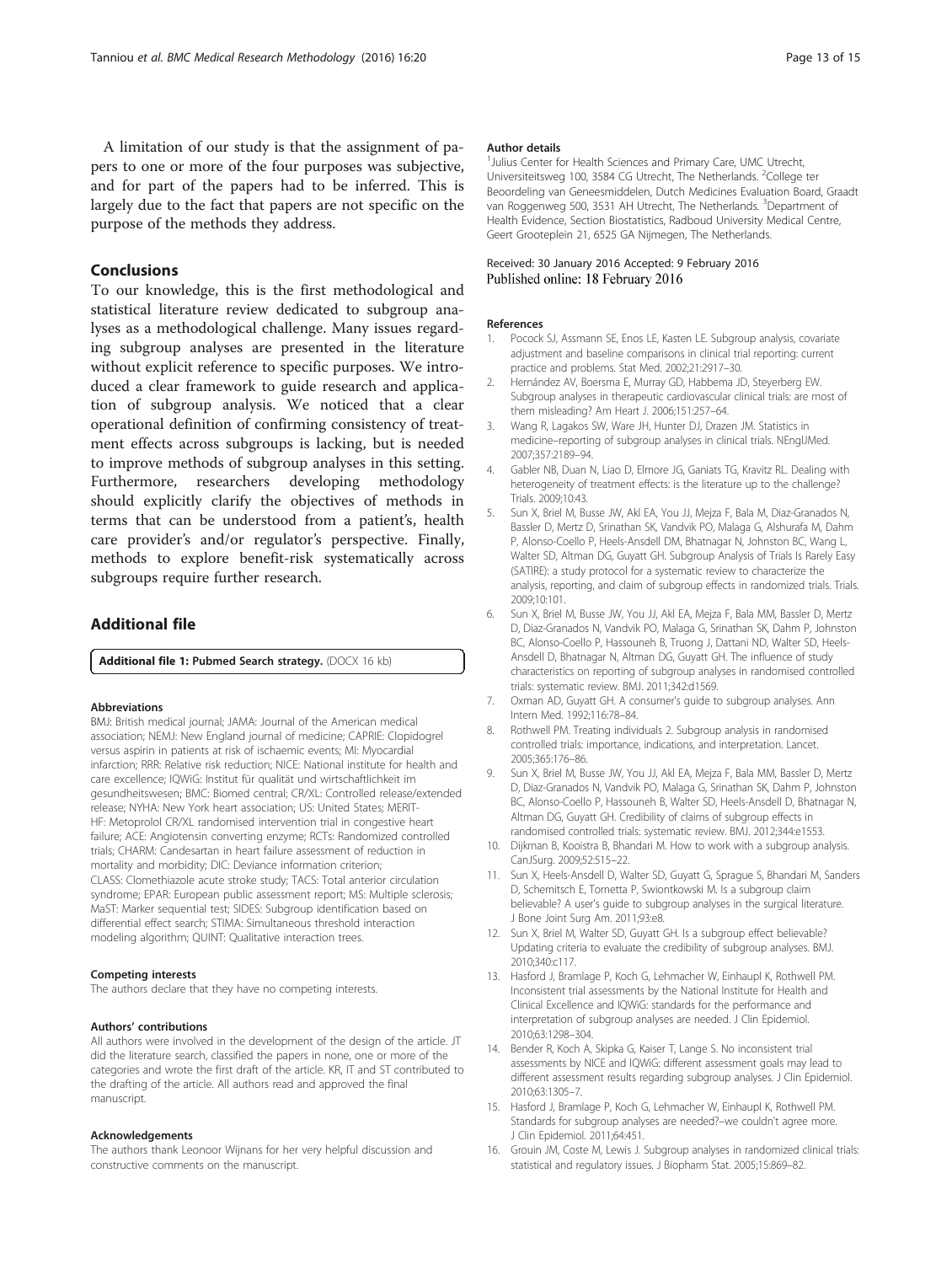<span id="page-12-0"></span>A limitation of our study is that the assignment of papers to one or more of the four purposes was subjective, and for part of the papers had to be inferred. This is largely due to the fact that papers are not specific on the purpose of the methods they address.

## Conclusions

To our knowledge, this is the first methodological and statistical literature review dedicated to subgroup analyses as a methodological challenge. Many issues regarding subgroup analyses are presented in the literature without explicit reference to specific purposes. We introduced a clear framework to guide research and application of subgroup analysis. We noticed that a clear operational definition of confirming consistency of treatment effects across subgroups is lacking, but is needed to improve methods of subgroup analyses in this setting. Furthermore, researchers developing methodology should explicitly clarify the objectives of methods in terms that can be understood from a patient's, health care provider's and/or regulator's perspective. Finally, methods to explore benefit-risk systematically across subgroups require further research.

## Additional file

[Additional file 1:](dx.doi.org/10.1186/s12874-016-0122-6) Pubmed Search strategy. (DOCX 16 kb)

#### Abbreviations

BMJ: British medical journal; JAMA: Journal of the American medical association; NEMJ: New England journal of medicine; CAPRIE: Clopidogrel versus aspirin in patients at risk of ischaemic events; MI: Myocardial infarction; RRR: Relative risk reduction; NICE: National institute for health and care excellence; IQWiG: Institut für qualität und wirtschaftlichkeit im gesundheitswesen; BMC: Biomed central; CR/XL: Controlled release/extended release; NYHA: New York heart association; US: United States; MERIT-HF: Metoprolol CR/XL randomised intervention trial in congestive heart failure; ACE: Angiotensin converting enzyme; RCTs: Randomized controlled trials; CHARM: Candesartan in heart failure assessment of reduction in mortality and morbidity; DIC: Deviance information criterion; CLASS: Clomethiazole acute stroke study; TACS: Total anterior circulation syndrome; EPAR: European public assessment report; MS: Multiple sclerosis; MaST: Marker sequential test; SIDES: Subgroup identification based on differential effect search; STIMA: Simultaneous threshold interaction modeling algorithm; QUINT: Qualitative interaction trees.

#### Competing interests

The authors declare that they have no competing interests.

#### Authors' contributions

All authors were involved in the development of the design of the article. JT did the literature search, classified the papers in none, one or more of the categories and wrote the first draft of the article. KR, IT and ST contributed to the drafting of the article. All authors read and approved the final manuscript.

#### Acknowledgements

The authors thank Leonoor Wijnans for her very helpful discussion and constructive comments on the manuscript.

#### Author details

<sup>1</sup>Julius Center for Health Sciences and Primary Care, UMC Utrecht Universiteitsweg 100, 3584 CG Utrecht, The Netherlands. <sup>2</sup>College ter Beoordeling van Geneesmiddelen, Dutch Medicines Evaluation Board, Graadt van Roggenweg 500, 3531 AH Utrecht, The Netherlands. <sup>3</sup>Department of Health Evidence, Section Biostatistics, Radboud University Medical Centre, Geert Grooteplein 21, 6525 GA Nijmegen, The Netherlands.

#### Received: 30 January 2016 Accepted: 9 February 2016 Published online: 18 February 2016

#### References

- 1. Pocock SJ, Assmann SE, Enos LE, Kasten LE. Subgroup analysis, covariate adjustment and baseline comparisons in clinical trial reporting: current practice and problems. Stat Med. 2002;21:2917–30.
- 2. Hernández AV, Boersma E, Murray GD, Habbema JD, Steyerberg EW. Subgroup analyses in therapeutic cardiovascular clinical trials: are most of them misleading? Am Heart J. 2006;151:257–64.
- 3. Wang R, Lagakos SW, Ware JH, Hunter DJ, Drazen JM. Statistics in medicine–reporting of subgroup analyses in clinical trials. NEnglJMed. 2007;357:2189–94.
- 4. Gabler NB, Duan N, Liao D, Elmore JG, Ganiats TG, Kravitz RL. Dealing with heterogeneity of treatment effects: is the literature up to the challenge? Trials. 2009;10:43.
- Sun X, Briel M, Busse JW, Akl EA, You JJ, Mejza F, Bala M, Diaz-Granados N, Bassler D, Mertz D, Srinathan SK, Vandvik PO, Malaga G, Alshurafa M, Dahm P, Alonso-Coello P, Heels-Ansdell DM, Bhatnagar N, Johnston BC, Wang L, Walter SD, Altman DG, Guyatt GH. Subgroup Analysis of Trials Is Rarely Easy (SATIRE): a study protocol for a systematic review to characterize the analysis, reporting, and claim of subgroup effects in randomized trials. Trials. 2009;10:101.
- 6. Sun X, Briel M, Busse JW, You JJ, Akl EA, Mejza F, Bala MM, Bassler D, Mertz D, Diaz-Granados N, Vandvik PO, Malaga G, Srinathan SK, Dahm P, Johnston BC, Alonso-Coello P, Hassouneh B, Truong J, Dattani ND, Walter SD, Heels-Ansdell D, Bhatnagar N, Altman DG, Guyatt GH. The influence of study characteristics on reporting of subgroup analyses in randomised controlled trials: systematic review. BMJ. 2011;342:d1569.
- 7. Oxman AD, Guyatt GH. A consumer's guide to subgroup analyses. Ann Intern Med. 1992;116:78–84.
- 8. Rothwell PM. Treating individuals 2. Subgroup analysis in randomised controlled trials: importance, indications, and interpretation. Lancet. 2005;365:176–86.
- 9. Sun X, Briel M, Busse JW, You JJ, Akl EA, Mejza F, Bala MM, Bassler D, Mertz D, Diaz-Granados N, Vandvik PO, Malaga G, Srinathan SK, Dahm P, Johnston BC, Alonso-Coello P, Hassouneh B, Walter SD, Heels-Ansdell D, Bhatnagar N, Altman DG, Guyatt GH. Credibility of claims of subgroup effects in randomised controlled trials: systematic review. BMJ. 2012;344:e1553.
- 10. Dijkman B, Kooistra B, Bhandari M. How to work with a subgroup analysis. CanJSurg. 2009;52:515–22.
- 11. Sun X, Heels-Ansdell D, Walter SD, Guyatt G, Sprague S, Bhandari M, Sanders D, Schemitsch E, Tornetta P, Swiontkowski M. Is a subgroup claim believable? A user's guide to subgroup analyses in the surgical literature. J Bone Joint Surg Am. 2011;93:e8.
- 12. Sun X, Briel M, Walter SD, Guyatt GH. Is a subgroup effect believable? Updating criteria to evaluate the credibility of subgroup analyses. BMJ. 2010;340:c117.
- 13. Hasford J, Bramlage P, Koch G, Lehmacher W, Einhaupl K, Rothwell PM. Inconsistent trial assessments by the National Institute for Health and Clinical Excellence and IQWiG: standards for the performance and interpretation of subgroup analyses are needed. J Clin Epidemiol. 2010;63:1298–304.
- 14. Bender R, Koch A, Skipka G, Kaiser T, Lange S. No inconsistent trial assessments by NICE and IQWiG: different assessment goals may lead to different assessment results regarding subgroup analyses. J Clin Epidemiol. 2010;63:1305–7.
- 15. Hasford J, Bramlage P, Koch G, Lehmacher W, Einhaupl K, Rothwell PM. Standards for subgroup analyses are needed?–we couldn't agree more. J Clin Epidemiol. 2011;64:451.
- 16. Grouin JM, Coste M, Lewis J. Subgroup analyses in randomized clinical trials: statistical and regulatory issues. J Biopharm Stat. 2005;15:869–82.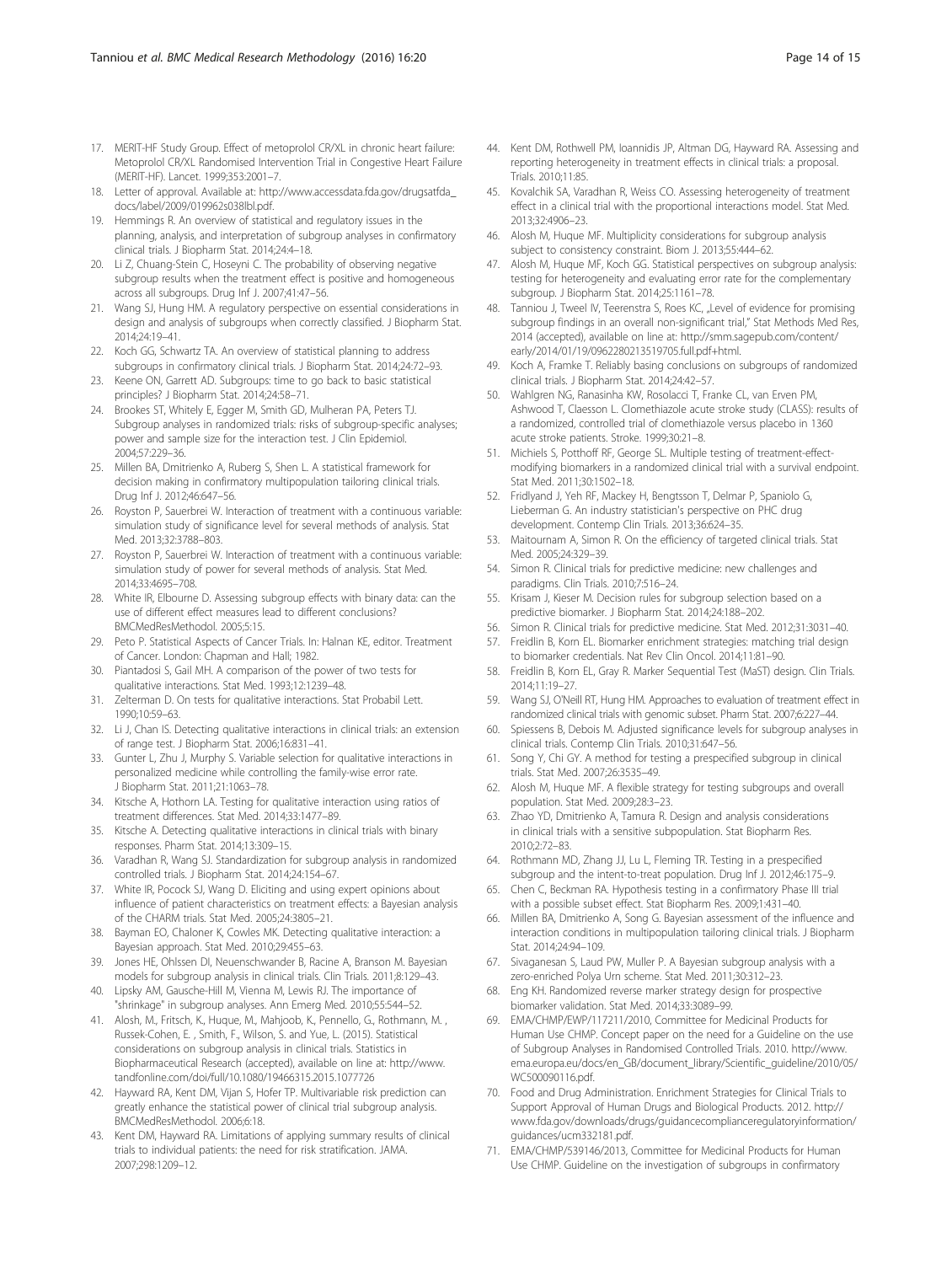- <span id="page-13-0"></span>17. MERIT-HF Study Group. Effect of metoprolol CR/XL in chronic heart failure: Metoprolol CR/XL Randomised Intervention Trial in Congestive Heart Failure (MERIT-HF). Lancet. 1999;353:2001–7.
- 18. Letter of approval. Available at: [http://www.accessdata.fda.gov/drugsatfda\\_](http://www.accessdata.fda.gov/drugsatfda_docs/label/2009/019962s038lbl.pdf) [docs/label/2009/019962s038lbl.pdf](http://www.accessdata.fda.gov/drugsatfda_docs/label/2009/019962s038lbl.pdf).
- 19. Hemmings R. An overview of statistical and regulatory issues in the planning, analysis, and interpretation of subgroup analyses in confirmatory clinical trials. J Biopharm Stat. 2014;24:4–18.
- 20. Li Z, Chuang-Stein C, Hoseyni C. The probability of observing negative subgroup results when the treatment effect is positive and homogeneous across all subgroups. Drug Inf J. 2007;41:47–56.
- 21. Wang SJ, Hung HM. A regulatory perspective on essential considerations in design and analysis of subgroups when correctly classified. J Biopharm Stat. 2014;24:19–41.
- 22. Koch GG, Schwartz TA. An overview of statistical planning to address subgroups in confirmatory clinical trials. J Biopharm Stat. 2014;24:72–93.
- 23. Keene ON, Garrett AD. Subgroups: time to go back to basic statistical principles? J Biopharm Stat. 2014;24:58–71.
- 24. Brookes ST, Whitely E, Egger M, Smith GD, Mulheran PA, Peters TJ. Subgroup analyses in randomized trials: risks of subgroup-specific analyses; power and sample size for the interaction test. J Clin Epidemiol. 2004;57:229–36.
- 25. Millen BA, Dmitrienko A, Ruberg S, Shen L. A statistical framework for decision making in confirmatory multipopulation tailoring clinical trials. Drug Inf J. 2012;46:647–56.
- 26. Royston P, Sauerbrei W. Interaction of treatment with a continuous variable: simulation study of significance level for several methods of analysis. Stat Med. 2013;32:3788–803.
- 27. Royston P, Sauerbrei W. Interaction of treatment with a continuous variable: simulation study of power for several methods of analysis. Stat Med. 2014;33:4695–708.
- 28. White IR, Elbourne D. Assessing subgroup effects with binary data: can the use of different effect measures lead to different conclusions? BMCMedResMethodol. 2005;5:15.
- 29. Peto P. Statistical Aspects of Cancer Trials. In: Halnan KE, editor. Treatment of Cancer. London: Chapman and Hall; 1982.
- 30. Piantadosi S, Gail MH. A comparison of the power of two tests for qualitative interactions. Stat Med. 1993;12:1239–48.
- 31. Zelterman D. On tests for qualitative interactions. Stat Probabil Lett. 1990;10:59–63.
- 32. Li J, Chan IS. Detecting qualitative interactions in clinical trials: an extension of range test. J Biopharm Stat. 2006;16:831–41.
- 33. Gunter L, Zhu J, Murphy S. Variable selection for qualitative interactions in personalized medicine while controlling the family-wise error rate. J Biopharm Stat. 2011;21:1063–78.
- 34. Kitsche A, Hothorn LA. Testing for qualitative interaction using ratios of treatment differences. Stat Med. 2014;33:1477–89.
- 35. Kitsche A. Detecting qualitative interactions in clinical trials with binary responses. Pharm Stat. 2014;13:309–15.
- 36. Varadhan R, Wang SJ. Standardization for subgroup analysis in randomized controlled trials. J Biopharm Stat. 2014;24:154–67.
- 37. White IR, Pocock SJ, Wang D. Eliciting and using expert opinions about influence of patient characteristics on treatment effects: a Bayesian analysis of the CHARM trials. Stat Med. 2005;24:3805–21.
- 38. Bayman EO, Chaloner K, Cowles MK. Detecting qualitative interaction: a Bayesian approach. Stat Med. 2010;29:455–63.
- 39. Jones HE, Ohlssen DI, Neuenschwander B, Racine A, Branson M. Bayesian models for subgroup analysis in clinical trials. Clin Trials. 2011;8:129–43.
- 40. Lipsky AM, Gausche-Hill M, Vienna M, Lewis RJ. The importance of "shrinkage" in subgroup analyses. Ann Emerg Med. 2010;55:544–52.
- 41. Alosh, M., Fritsch, K., Huque, M., Mahjoob, K., Pennello, G., Rothmann, M. , Russek-Cohen, E. , Smith, F., Wilson, S. and Yue, L. (2015). Statistical considerations on subgroup analysis in clinical trials. Statistics in Biopharmaceutical Research (accepted), available on line at: http://www. tandfonline.com/doi/full[/10.1080/19466315.2015.1077726](http://dx.doi.org/10.1080/19466315.2015.1077726)
- 42. Hayward RA, Kent DM, Vijan S, Hofer TP. Multivariable risk prediction can greatly enhance the statistical power of clinical trial subgroup analysis. BMCMedResMethodol. 2006;6:18.
- 43. Kent DM, Hayward RA. Limitations of applying summary results of clinical trials to individual patients: the need for risk stratification. JAMA. 2007;298:1209–12.
- 44. Kent DM, Rothwell PM, Ioannidis JP, Altman DG, Hayward RA. Assessing and reporting heterogeneity in treatment effects in clinical trials: a proposal. Trials. 2010;11:85.
- 45. Kovalchik SA, Varadhan R, Weiss CO. Assessing heterogeneity of treatment effect in a clinical trial with the proportional interactions model. Stat Med. 2013;32:4906–23.
- 46. Alosh M, Huque MF. Multiplicity considerations for subgroup analysis subject to consistency constraint. Biom J. 2013;55:444–62.
- 47. Alosh M, Huque MF, Koch GG. Statistical perspectives on subgroup analysis: testing for heterogeneity and evaluating error rate for the complementary subgroup. J Biopharm Stat. 2014;25:1161–78.
- 48. Tanniou J, Tweel IV, Teerenstra S, Roes KC, "Level of evidence for promising subgroup findings in an overall non-significant trial," Stat Methods Med Res, 2014 (accepted), available on line at: [http://smm.sagepub.com/content/](http://smm.sagepub.com/content/early/2014/01/19/0962280213519705.full.pdf+html) [early/2014/01/19/0962280213519705.full.pdf+html.](http://smm.sagepub.com/content/early/2014/01/19/0962280213519705.full.pdf+html)
- 49. Koch A, Framke T. Reliably basing conclusions on subgroups of randomized clinical trials. J Biopharm Stat. 2014;24:42–57.
- 50. Wahlgren NG, Ranasinha KW, Rosolacci T, Franke CL, van Erven PM, Ashwood T, Claesson L. Clomethiazole acute stroke study (CLASS): results of a randomized, controlled trial of clomethiazole versus placebo in 1360 acute stroke patients. Stroke. 1999;30:21–8.
- 51. Michiels S, Potthoff RF, George SL. Multiple testing of treatment-effectmodifying biomarkers in a randomized clinical trial with a survival endpoint. Stat Med. 2011;30:1502–18.
- 52. Fridlyand J, Yeh RF, Mackey H, Bengtsson T, Delmar P, Spaniolo G, Lieberman G. An industry statistician's perspective on PHC drug development. Contemp Clin Trials. 2013;36:624–35.
- 53. Maitournam A, Simon R. On the efficiency of targeted clinical trials. Stat Med. 2005;24:329–39.
- 54. Simon R. Clinical trials for predictive medicine: new challenges and paradigms. Clin Trials. 2010;7:516–24.
- 55. Krisam J, Kieser M. Decision rules for subgroup selection based on a predictive biomarker. J Biopharm Stat. 2014;24:188–202.
- 56. Simon R. Clinical trials for predictive medicine. Stat Med. 2012;31:3031–40.
- 57. Freidlin B, Korn EL. Biomarker enrichment strategies: matching trial design to biomarker credentials. Nat Rev Clin Oncol. 2014;11:81–90.
- 58. Freidlin B, Korn EL, Gray R. Marker Sequential Test (MaST) design. Clin Trials. 2014;11:19–27.
- 59. Wang SJ, O'Neill RT, Hung HM. Approaches to evaluation of treatment effect in randomized clinical trials with genomic subset. Pharm Stat. 2007;6:227–44.
- 60. Spiessens B, Debois M. Adjusted significance levels for subgroup analyses in clinical trials. Contemp Clin Trials. 2010;31:647–56.
- 61. Song Y, Chi GY. A method for testing a prespecified subgroup in clinical trials. Stat Med. 2007;26:3535–49.
- 62. Alosh M, Huque MF. A flexible strategy for testing subgroups and overall population. Stat Med. 2009;28:3–23.
- Zhao YD, Dmitrienko A, Tamura R. Design and analysis considerations in clinical trials with a sensitive subpopulation. Stat Biopharm Res. 2010;2:72–83.
- 64. Rothmann MD, Zhang JJ, Lu L, Fleming TR. Testing in a prespecified subgroup and the intent-to-treat population. Drug Inf J. 2012;46:175–9.
- 65. Chen C, Beckman RA. Hypothesis testing in a confirmatory Phase III trial with a possible subset effect. Stat Biopharm Res. 2009;1:431–40.
- 66. Millen BA, Dmitrienko A, Song G. Bayesian assessment of the influence and interaction conditions in multipopulation tailoring clinical trials. J Biopharm Stat. 2014;24:94–109.
- 67. Sivaganesan S, Laud PW, Muller P. A Bayesian subgroup analysis with a zero-enriched Polya Urn scheme. Stat Med. 2011;30:312–23.
- 68. Eng KH. Randomized reverse marker strategy design for prospective biomarker validation. Stat Med. 2014;33:3089–99.
- 69. EMA/CHMP/EWP/117211/2010, Committee for Medicinal Products for Human Use CHMP. Concept paper on the need for a Guideline on the use of Subgroup Analyses in Randomised Controlled Trials. 2010. [http://www.](http://www.ema.europa.eu/docs/en_GB/document_library/Scientific_guideline/2010/05/WC500090116.pdf) [ema.europa.eu/docs/en\\_GB/document\\_library/Scientific\\_guideline/2010/05/](http://www.ema.europa.eu/docs/en_GB/document_library/Scientific_guideline/2010/05/WC500090116.pdf) [WC500090116.pdf](http://www.ema.europa.eu/docs/en_GB/document_library/Scientific_guideline/2010/05/WC500090116.pdf).
- 70. Food and Drug Administration. Enrichment Strategies for Clinical Trials to Support Approval of Human Drugs and Biological Products. 2012. [http://](http://www.fda.gov/downloads/drugs/guidancecomplianceregulatoryinformation/guidances/ucm332181.pdf) [www.fda.gov/downloads/drugs/guidancecomplianceregulatoryinformation/](http://www.fda.gov/downloads/drugs/guidancecomplianceregulatoryinformation/guidances/ucm332181.pdf) [guidances/ucm332181.pdf](http://www.fda.gov/downloads/drugs/guidancecomplianceregulatoryinformation/guidances/ucm332181.pdf).
- 71. EMA/CHMP/539146/2013, Committee for Medicinal Products for Human Use CHMP. Guideline on the investigation of subgroups in confirmatory